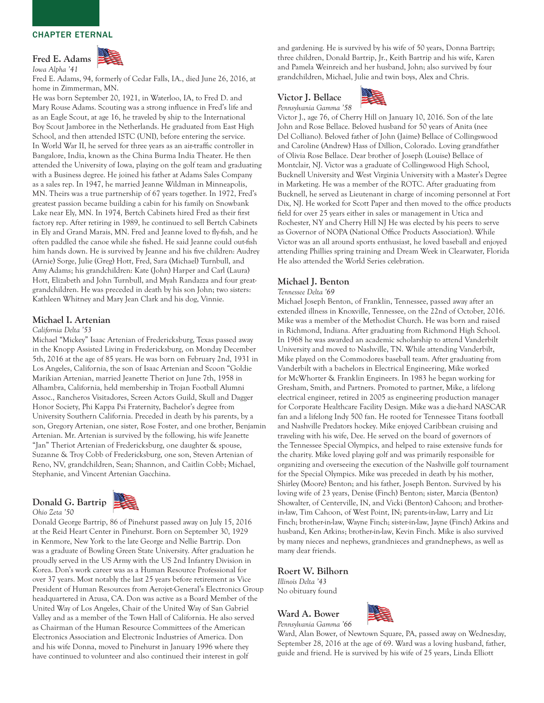# Fred E. Adams *Iowa Alpha '41*



Fred E. Adams, 94, formerly of Cedar Falls, IA., died June 26, 2016, at home in Zimmerman, MN.

He was born September 20, 1921, in Waterloo, IA, to Fred D. and Mary Rouse Adams. Scouting was a strong influence in Fred's life and as an Eagle Scout, at age 16, he traveled by ship to the International Boy Scout Jamboree in the Netherlands. He graduated from East High School, and then attended ISTC (UNI), before entering the service. In World War II, he served for three years as an air-traffic controller in Bangalore, India, known as the China Burma India Theater. He then attended the University of Iowa, playing on the golf team and graduating with a Business degree. He joined his father at Adams Sales Company as a sales rep. In 1947, he married Jeanne Wildman in Minneapolis, MN. Theirs was a true partnership of 67 years together. In 1972, Fred's greatest passion became building a cabin for his family on Snowbank Lake near Ely, MN. In 1974, Bertch Cabinets hired Fred as their first factory rep. After retiring in 1989, he continued to sell Bertch Cabinets in Ely and Grand Marais, MN. Fred and Jeanne loved to fly-fish, and he often paddled the canoe while she fished. He said Jeanne could out-fish him hands down. He is survived by Jeanne and his five children: Audrey (Arnie) Sorge, Julie (Greg) Hott, Fred, Sara (Michael) Turnbull, and Amy Adams; his grandchildren: Kate (John) Harper and Carl (Laura) Hott, Elizabeth and John Turnbull, and Myah Randazza and four greatgrandchildren. He was preceded in death by his son John; two sisters: Kathleen Whitney and Mary Jean Clark and his dog, Vinnie.

# Michael I. Artenian

#### *California Delta '53*

Michael "Mickey" Isaac Artenian of Fredericksburg, Texas passed away in the Knopp Assisted Living in Fredericksburg, on Monday December 5th, 2016 at the age of 85 years. He was born on February 2nd, 1931 in Los Angeles, California, the son of Isaac Artenian and Scoon "Goldie Marikian Artenian, married Jeanette Theriot on June 7th, 1958 in Alhambra, California, held membership in Trojan Football Alumni Assoc., Rancheros Visitadores, Screen Actors Guild, Skull and Dagger Honor Society, Phi Kappa Psi Fraternity, Bachelor's degree from University Southern California. Preceded in death by his parents, by a son, Gregory Artenian, one sister, Rose Foster, and one brother, Benjamin Artenian. Mr. Artenian is survived by the following, his wife Jeanette "Jan" Theriot Artenian of Fredericksburg, one daughter & spouse, Suzanne & Troy Cobb of Fredericksburg, one son, Steven Artenian of Reno, NV, grandchildren, Sean; Shannon, and Caitlin Cobb; Michael, Stephanie, and Vincent Artenian Gacchina.

## Donald G. Bartrip *Ohio Zeta '50*



Donald George Bartrip, 86 of Pinehurst passed away on July 15, 2016 at the Reid Heart Center in Pinehurst. Born on September 30, 1929 in Kenmore, New York to the late George and Nellie Bartrip. Don was a graduate of Bowling Green State University. After graduation he proudly served in the US Army with the US 2nd Infantry Division in Korea. Don's work career was as a Human Resource Professional for over 37 years. Most notably the last 25 years before retirement as Vice President of Human Resources from Aerojet-General's Electronics Group headquartered in Azusa, CA. Don was active as a Board Member of the United Way of Los Angeles, Chair of the United Way of San Gabriel Valley and as a member of the Town Hall of California. He also served as Chairman of the Human Resource Committees of the American Electronics Association and Electronic Industries of America. Don and his wife Donna, moved to Pinehurst in January 1996 where they have continued to volunteer and also continued their interest in golf

and gardening. He is survived by his wife of 50 years, Donna Bartrip; three children, Donald Bartrip, Jr., Keith Bartrip and his wife, Karen and Pamela Weinreich and her husband, John; also survived by four grandchildren, Michael, Julie and twin boys, Alex and Chris.

#### Victor J. Bellace *Pennsylvania Gamma '58*



Victor J., age 76, of Cherry Hill on January 10, 2016. Son of the late John and Rose Bellace. Beloved husband for 50 years of Anita (nee Del Colliano). Beloved father of John (Jaime) Bellace of Collingswood and Caroline (Andrew) Hass of Dillion, Colorado. Loving grandfather of Olivia Rose Bellace. Dear brother of Joseph (Louise) Bellace of Montclair, NJ. Victor was a graduate of Collingswood High School, Bucknell University and West Virginia University with a Master's Degree in Marketing. He was a member of the ROTC. After graduating from Bucknell, he served as Lieutenant in charge of incoming personnel at Fort Dix, NJ. He worked for Scott Paper and then moved to the office products field for over 25 years either in sales or management in Utica and Rochester, NY and Cherry Hill NJ He was elected by his peers to serve as Governor of NOPA (National Office Products Association). While Victor was an all around sports enthusiast, he loved baseball and enjoyed attending Phillies spring training and Dream Week in Clearwater, Florida He also attended the World Series celebration.

# Michael J. Benton

#### *Tennessee Delta '69*

Michael Joseph Benton, of Franklin, Tennessee, passed away after an extended illness in Knoxville, Tennessee, on the 22nd of October, 2016. Mike was a member of the Methodist Church. He was born and raised in Richmond, Indiana. After graduating from Richmond High School. In 1968 he was awarded an academic scholarship to attend Vanderbilt University and moved to Nashville, TN. While attending Vanderbilt, Mike played on the Commodores baseball team. After graduating from Vanderbilt with a bachelors in Electrical Engineering, Mike worked for McWhorter & Franklin Engineers. In 1983 he began working for Gresham, Smith, and Partners. Promoted to partner, Mike, a lifelong electrical engineer, retired in 2005 as engineering production manager for Corporate Healthcare Facility Design. Mike was a die-hard NASCAR fan and a lifelong Indy 500 fan. He rooted for Tennessee Titans football and Nashville Predators hockey. Mike enjoyed Caribbean cruising and traveling with his wife, Dee. He served on the board of governors of the Tennessee Special Olympics, and helped to raise extensive funds for the charity. Mike loved playing golf and was primarily responsible for organizing and overseeing the execution of the Nashville golf tournament for the Special Olympics. Mike was preceded in death by his mother, Shirley (Moore) Benton; and his father, Joseph Benton. Survived by his loving wife of 23 years, Denise (Finch) Benton; sister, Marcia (Benton) Showalter, of Centerville, IN, and Vicki (Benton) Cahoon; and brotherin-law, Tim Cahoon, of West Point, IN; parents-in-law, Larry and Liz Finch; brother-in-law, Wayne Finch; sister-in-law, Jayne (Finch) Atkins and husband, Ken Atkins; brother-in-law, Kevin Finch. Mike is also survived by many nieces and nephews, grandnieces and grandnephews, as well as many dear friends.

Roert W. Bilhorn *Illinois Delta '43* No obituary found

#### Ward A. Bower *Pennsylvania Gamma '66*



Ward, Alan Bower, of Newtown Square, PA, passed away on Wednesday, September 28, 2016 at the age of 69. Ward was a loving husband, father, guide and friend. He is survived by his wife of 25 years, Linda Elliott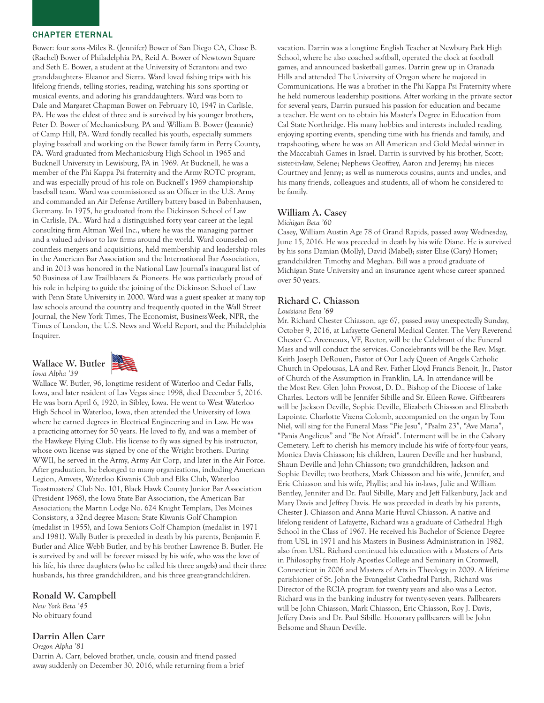Bower: four sons -Miles R. (Jennifer) Bower of San Diego CA, Chase B. (Rachel) Bower of Philadelphia PA, Reid A. Bower of Newtown Square and Seth E. Bower, a student at the University of Scranton: and two granddaughters- Eleanor and Sierra. Ward loved fishing trips with his lifelong friends, telling stories, reading, watching his sons sporting or musical events, and adoring his granddaughters. Ward was born to Dale and Margaret Chapman Bower on February 10, 1947 in Carlisle, PA. He was the eldest of three and is survived by his younger brothers, Peter D. Bower of Mechanicsburg, PA and William B. Bower (Jeannie) of Camp Hill, PA. Ward fondly recalled his youth, especially summers playing baseball and working on the Bower family farm in Perry County, PA. Ward graduated from Mechanicsburg High School in 1965 and Bucknell University in Lewisburg, PA in 1969. At Bucknell, he was a member of the Phi Kappa Psi fraternity and the Army ROTC program, and was especially proud of his role on Bucknell's 1969 championship baseball team. Ward was commissioned as an Officer in the U.S. Army and commanded an Air Defense Artillery battery based in Babenhausen, Germany. In 1975, he graduated from the Dickinson School of Law in Carlisle, PA.. Ward had a distinguished forty year career at the legal consulting firm Altman Weil Inc., where he was the managing partner and a valued advisor to law firms around the world. Ward counseled on countless mergers and acquisitions, held membership and leadership roles in the American Bar Association and the International Bar Association, and in 2013 was honored in the National Law Journal's inaugural list of 50 Business of Law Trailblazers & Pioneers. He was particularly proud of his role in helping to guide the joining of the Dickinson School of Law with Penn State University in 2000. Ward was a guest speaker at many top law schools around the country and frequently quoted in the Wall Street Journal, the New York Times, The Economist, BusinessWeek, NPR, the Times of London, the U.S. News and World Report, and the Philadelphia Inquirer.

Wallace W. Butler *Iowa Alpha '39*



Wallace W. Butler, 96, longtime resident of Waterloo and Cedar Falls, Iowa, and later resident of Las Vegas since 1998, died December 5, 2016. He was born April 6, 1920, in Sibley, Iowa. He went to West Waterloo High School in Waterloo, Iowa, then attended the University of Iowa where he earned degrees in Electrical Engineering and in Law. He was a practicing attorney for 50 years. He loved to fly, and was a member of the Hawkeye Flying Club. His license to fly was signed by his instructor, whose own license was signed by one of the Wright brothers. During WWII, he served in the Army, Army Air Corp, and later in the Air Force. After graduation, he belonged to many organizations, including American Legion, Amvets, Waterloo Kiwanis Club and Elks Club, Waterloo Toastmasters' Club No. 101, Black Hawk County Junior Bar Association (President 1968), the Iowa State Bar Association, the American Bar Association; the Martin Lodge No. 624 Knight Templars, Des Moines Consistory, a 32nd degree Mason; State Kiwanis Golf Champion (medalist in 1955), and Iowa Seniors Golf Champion (medalist in 1971 and 1981). Wally Butler is preceded in death by his parents, Benjamin F. Butler and Alice Webb Butler, and by his brother Lawrence B. Butler. He is survived by and will be forever missed by his wife, who was the love of his life, his three daughters (who he called his three angels) and their three husbands, his three grandchildren, and his three great-grandchildren.

# Ronald W. Campbell

*New York Beta '45* No obituary found

## Darrin Allen Carr

*Oregon Alpha '81* Darrin A. Carr, beloved brother, uncle, cousin and friend passed away suddenly on December 30, 2016, while returning from a brief vacation. Darrin was a longtime English Teacher at Newbury Park High School, where he also coached softball, operated the clock at football games, and announced basketball games. Darrin grew up in Granada Hills and attended The University of Oregon where he majored in Communications. He was a brother in the Phi Kappa Psi Fraternity where he held numerous leadership positions. After working in the private sector for several years, Darrin pursued his passion for education and became a teacher. He went on to obtain his Master's Degree in Education from Cal State Northridge. His many hobbies and interests included reading, enjoying sporting events, spending time with his friends and family, and trapshooting, where he was an All American and Gold Medal winner in the Maccabiah Games in Israel. Darrin is survived by his brother, Scott; sister-in-law, Selene; Nephews Geoffrey, Aaron and Jeremy; his nieces Courtney and Jenny; as well as numerous cousins, aunts and uncles, and his many friends, colleagues and students, all of whom he considered to be family.

# William A. Casey

#### *Michigan Beta '60*

Casey, William Austin Age 78 of Grand Rapids, passed away Wednesday, June 15, 2016. He was preceded in death by his wife Diane. He is survived by his sons Damian (Molly), David (Mabel); sister Elise (Gary) Homer; grandchildren Timothy and Meghan. Bill was a proud graduate of Michigan State University and an insurance agent whose career spanned over 50 years.

#### Richard C. Chiasson

#### *Louisiana Beta '69*

Mr. Richard Chester Chiasson, age 67, passed away unexpectedly Sunday, October 9, 2016, at Lafayette General Medical Center. The Very Reverend Chester C. Arceneaux, VF, Rector, will be the Celebrant of the Funeral Mass and will conduct the services. Concelebrants will be the Rev. Msgr. Keith Joseph DeRouen, Pastor of Our Lady Queen of Angels Catholic Church in Opelousas, LA and Rev. Father Lloyd Francis Benoit, Jr., Pastor of Church of the Assumption in Franklin, LA. In attendance will be the Most Rev. Glen John Provost, D. D., Bishop of the Diocese of Lake Charles. Lectors will be Jennifer Sibille and Sr. Eileen Rowe. Giftbearers will be Jackson Deville, Sophie Deville, Elizabeth Chiasson and Elizabeth Lapointe. Charlotte Vizena Colomb, accompanied on the organ by Tom Niel, will sing for the Funeral Mass "Pie Jesu", "Psalm 23", "Ave Maria", "Panis Angelicus" and "Be Not Afraid". Interment will be in the Calvary Cemetery. Left to cherish his memory include his wife of forty-four years, Monica Davis Chiasson; his children, Lauren Deville and her husband, Shaun Deville and John Chiasson; two grandchildren, Jackson and Sophie Deville; two brothers, Mark Chiasson and his wife, Jennifer, and Eric Chiasson and his wife, Phyllis; and his in-laws, Julie and William Bentley, Jennifer and Dr. Paul Sibille, Mary and Jeff Falkenbury, Jack and Mary Davis and Jeffrey Davis. He was preceded in death by his parents, Chester J. Chiasson and Anna Marie Huval Chiasson. A native and lifelong resident of Lafayette, Richard was a graduate of Cathedral High School in the Class of 1967. He received his Bachelor of Science Degree from USL in 1971 and his Masters in Business Administration in 1982, also from USL. Richard continued his education with a Masters of Arts in Philosophy from Holy Apostles College and Seminary in Cromwell, Connecticut in 2006 and Masters of Arts in Theology in 2009. A lifetime parishioner of St. John the Evangelist Cathedral Parish, Richard was Director of the RCIA program for twenty years and also was a Lector. Richard was in the banking industry for twenty-seven years. Pallbearers will be John Chiasson, Mark Chiasson, Eric Chiasson, Roy J. Davis, Jeffery Davis and Dr. Paul Sibille. Honorary pallbearers will be John Belsome and Shaun Deville.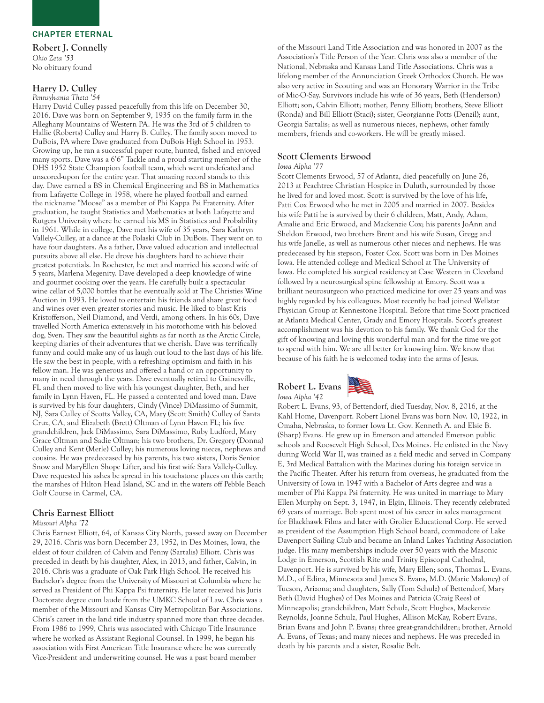Robert J. Connelly *Ohio Zeta '53* No obituary found

# Harry D. Culley

*Pennsylvania Theta '54*

Harry David Culley passed peacefully from this life on December 30, 2016. Dave was born on September 9, 1935 on the family farm in the Alleghany Mountains of Western PA. He was the 3rd of 5 children to Hallie (Roberts) Culley and Harry B. Culley. The family soon moved to DuBois, PA where Dave graduated from DuBois High School in 1953. Growing up, he ran a successful paper route, hunted, fished and enjoyed many sports. Dave was a 6'6" Tackle and a proud starting member of the DHS 1952 State Champion football team, which went undefeated and unscored-upon for the entire year. That amazing record stands to this day. Dave earned a BS in Chemical Engineering and BS in Mathematics from Lafayette College in 1958, where he played football and earned the nickname "Moose" as a member of Phi Kappa Psi Fraternity. After graduation, he taught Statistics and Mathematics at both Lafayette and Rutgers University where he earned his MS in Statistics and Probability in 1961. While in college, Dave met his wife of 35 years, Sara Kathryn Vallely-Culley, at a dance at the Polaski Club in DuBois. They went on to have four daughters. As a father, Dave valued education and intellectual pursuits above all else. He drove his daughters hard to achieve their greatest potentials. In Rochester, he met and married his second wife of 5 years, Marlena Megenity. Dave developed a deep knowledge of wine and gourmet cooking over the years. He carefully built a spectacular wine cellar of 5,000 bottles that he eventually sold at The Christies Wine Auction in 1993. He loved to entertain his friends and share great food and wines over even greater stories and music. He liked to blast Kris Kristofferson, Neil Diamond, and Verdi, among others. In his 60s, Dave travelled North America extensively in his motorhome with his beloved dog, Sven. They saw the beautiful sights as far north as the Arctic Circle, keeping diaries of their adventures that we cherish. Dave was terrifically funny and could make any of us laugh out loud to the last days of his life. He saw the best in people, with a refreshing optimism and faith in his fellow man. He was generous and offered a hand or an opportunity to many in need through the years. Dave eventually retired to Gainesville, FL and then moved to live with his youngest daughter, Beth, and her family in Lynn Haven, FL. He passed a contented and loved man. Dave is survived by his four daughters, Cindy (Vince) DiMassimo of Summit, NJ, Sara Culley of Scotts Valley, CA, Mary (Scott Smith) Culley of Santa Cruz, CA, and Elizabeth (Brett) Oltman of Lynn Haven FL; his five grandchildren, Jack DiMassimo, Sara DiMassimo, Ruby Ludford, Mary Grace Oltman and Sadie Oltman; his two brothers, Dr. Gregory (Donna) Culley and Kent (Merle) Culley; his numerous loving nieces, nephews and cousins. He was predeceased by his parents, his two sisters, Doris Senior Snow and MaryEllen Shope Lifter, and his first wife Sara Vallely-Culley. Dave requested his ashes be spread in his touchstone places on this earth; the marshes of Hilton Head Island, SC and in the waters off Pebble Beach Golf Course in Carmel, CA.

# Chris Earnest Elliott

#### *Missouri Alpha '72*

Chris Earnest Elliott, 64, of Kansas City North, passed away on December 29, 2016. Chris was born December 23, 1952, in Des Moines, Iowa, the eldest of four children of Calvin and Penny (Sartalis) Elliott. Chris was preceded in death by his daughter, Alex, in 2013, and father, Calvin, in 2016. Chris was a graduate of Oak Park High School. He received his Bachelor's degree from the University of Missouri at Columbia where he served as President of Phi Kappa Psi fraternity. He later received his Juris Doctorate degree cum laude from the UMKC School of Law. Chris was a member of the Missouri and Kansas City Metropolitan Bar Associations. Chris's career in the land title industry spanned more than three decades. From 1986 to 1999, Chris was associated with Chicago Title Insurance where he worked as Assistant Regional Counsel. In 1999, he began his association with First American Title Insurance where he was currently Vice-President and underwriting counsel. He was a past board member

of the Missouri Land Title Association and was honored in 2007 as the Association's Title Person of the Year. Chris was also a member of the National, Nebraska and Kansas Land Title Associations. Chris was a lifelong member of the Annunciation Greek Orthodox Church. He was also very active in Scouting and was an Honorary Warrior in the Tribe of Mic-O-Say. Survivors include his wife of 36 years, Beth (Henderson) Elliott; son, Calvin Elliott; mother, Penny Elliott; brothers, Steve Elliott (Ronda) and Bill Elliott (Staci); sister, Georgianne Potts (Denzil); aunt, Georgia Sartalis; as well as numerous nieces, nephews, other family members, friends and co-workers. He will be greatly missed.

## Scott Clements Erwood

#### *Iowa Alpha '77*

Scott Clements Erwood, 57 of Atlanta, died peacefully on June 26, 2013 at Peachtree Christian Hospice in Duluth, surrounded by those he lived for and loved most. Scott is survived by the love of his life, Patti Cox Erwood who he met in 2005 and married in 2007. Besides his wife Patti he is survived by their 6 children, Matt, Andy, Adam, Amalie and Eric Erwood, and Mackenzie Cox; his parents JoAnn and Sheldon Erwood, two brothers Brent and his wife Susan, Gregg and his wife Janelle, as well as numerous other nieces and nephews. He was predeceased by his stepson, Foster Cox. Scott was born in Des Moines Iowa. He attended college and Medical School at The University of Iowa. He completed his surgical residency at Case Western in Cleveland followed by a neurosurgical spine fellowship at Emory. Scott was a brilliant neurosurgeon who practiced medicine for over 25 years and was highly regarded by his colleagues. Most recently he had joined Wellstar Physician Group at Kennestone Hospital. Before that time Scott practiced at Atlanta Medical Center, Grady and Emory Hospitals. Scott's greatest accomplishment was his devotion to his family. We thank God for the gift of knowing and loving this wonderful man and for the time we got to spend with him. We are all better for knowing him. We know that because of his faith he is welcomed today into the arms of Jesus.





Robert L. Evans, 93, of Bettendorf, died Tuesday, Nov. 8, 2016, at the Kahl Home, Davenport. Robert Lionel Evans was born Nov. 10, 1922, in Omaha, Nebraska, to former Iowa Lt. Gov. Kenneth A. and Elsie B. (Sharp) Evans. He grew up in Emerson and attended Emerson public schools and Roosevelt High School, Des Moines. He enlisted in the Navy during World War II, was trained as a field medic and served in Company E, 3rd Medical Battalion with the Marines during his foreign service in the Pacific Theater. After his return from overseas, he graduated from the University of Iowa in 1947 with a Bachelor of Arts degree and was a member of Phi Kappa Psi fraternity. He was united in marriage to Mary Ellen Murphy on Sept. 3, 1947, in Elgin, Illinois. They recently celebrated 69 years of marriage. Bob spent most of his career in sales management for Blackhawk Films and later with Grolier Educational Corp. He served as president of the Assumption High School board, commodore of Lake Davenport Sailing Club and became an Inland Lakes Yachting Association judge. His many memberships include over 50 years with the Masonic Lodge in Emerson, Scottish Rite and Trinity Episcopal Cathedral, Davenport. He is survived by his wife, Mary Ellen; sons, Thomas L. Evans, M.D., of Edina, Minnesota and James S. Evans, M.D. (Marie Maloney) of Tucson, Arizona; and daughters, Sally (Tom Schulz) of Bettendorf, Mary Beth (David Hughes) of Des Moines and Patricia (Craig Rees) of Minneapolis; grandchildren, Matt Schulz, Scott Hughes, Mackenzie Reynolds, Joanne Schulz, Paul Hughes, Allison McKay, Robert Evans, Brian Evans and John P. Evans; three great-grandchildren; brother, Arnold A. Evans, of Texas; and many nieces and nephews. He was preceded in death by his parents and a sister, Rosalie Belt.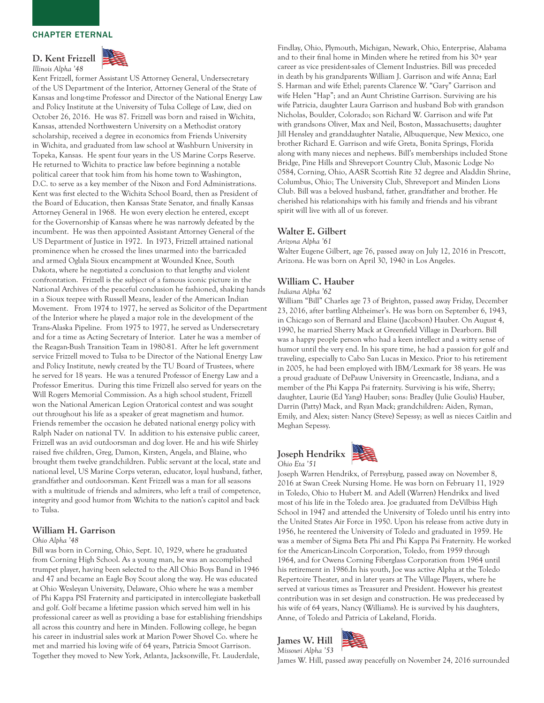D. Kent Frizzell *Illinois Alpha '48*



Kent Frizzell, former Assistant US Attorney General, Undersecretary of the US Department of the Interior, Attorney General of the State of Kansas and long-time Professor and Director of the National Energy Law and Policy Institute at the University of Tulsa College of Law, died on October 26, 2016. He was 87. Frizzell was born and raised in Wichita, Kansas, attended Northwestern University on a Methodist oratory scholarship, received a degree in economics from Friends University in Wichita, and graduated from law school at Washburn University in Topeka, Kansas. He spent four years in the US Marine Corps Reserve. He returned to Wichita to practice law before beginning a notable political career that took him from his home town to Washington, D.C. to serve as a key member of the Nixon and Ford Administrations. Kent was first elected to the Wichita School Board, then as President of the Board of Education, then Kansas State Senator, and finally Kansas Attorney General in 1968. He won every election he entered, except for the Governorship of Kansas where he was narrowly defeated by the incumbent. He was then appointed Assistant Attorney General of the US Department of Justice in 1972. In 1973, Frizzell attained national prominence when he crossed the lines unarmed into the barricaded and armed Oglala Sioux encampment at Wounded Knee, South Dakota, where he negotiated a conclusion to that lengthy and violent confrontation. Frizzell is the subject of a famous iconic picture in the National Archives of the peaceful conclusion he fashioned, shaking hands in a Sioux teepee with Russell Means, leader of the American Indian Movement. From 1974 to 1977, he served as Solicitor of the Department of the Interior where he played a major role in the development of the Trans-Alaska Pipeline. From 1975 to 1977, he served as Undersecretary and for a time as Acting Secretary of Interior. Later he was a member of the Reagan-Bush Transition Team in 1980-81. After he left government service Frizzell moved to Tulsa to be Director of the National Energy Law and Policy Institute, newly created by the TU Board of Trustees, where he served for 18 years. He was a tenured Professor of Energy Law and a Professor Emeritus. During this time Frizzell also served for years on the Will Rogers Memorial Commission. As a high school student, Frizzell won the National American Legion Oratorical contest and was sought out throughout his life as a speaker of great magnetism and humor. Friends remember the occasion he debated national energy policy with Ralph Nader on national TV. In addition to his extensive public career, Frizzell was an avid outdoorsman and dog lover. He and his wife Shirley raised five children, Greg, Damon, Kirsten, Angela, and Blaine, who brought them twelve grandchildren. Public servant at the local, state and national level, US Marine Corps veteran, educator, loyal husband, father, grandfather and outdoorsman. Kent Frizzell was a man for all seasons with a multitude of friends and admirers, who left a trail of competence, integrity and good humor from Wichita to the nation's capitol and back to Tulsa.

#### William H. Garrison

#### *Ohio Alpha '48*

Bill was born in Corning, Ohio, Sept. 10, 1929, where he graduated from Corning High School. As a young man, he was an accomplished trumpet player, having been selected to the All Ohio Boys Band in 1946 and 47 and became an Eagle Boy Scout along the way. He was educated at Ohio Wesleyan University, Delaware, Ohio where he was a member of Phi Kappa PSI Fraternity and participated in intercollegiate basketball and golf. Golf became a lifetime passion which served him well in his professional career as well as providing a base for establishing friendships all across this country and here in Minden. Following college, he began his career in industrial sales work at Marion Power Shovel Co. where he met and married his loving wife of 64 years, Patricia Smoot Garrison. Together they moved to New York, Atlanta, Jacksonville, Ft. Lauderdale,

Findlay, Ohio, Plymouth, Michigan, Newark, Ohio, Enterprise, Alabama and to their final home in Minden where he retired from his 30+ year career as vice president-sales of Clement Industries. Bill was preceded in death by his grandparents William J. Garrison and wife Anna; Earl S. Harman and wife Ethel; parents Clarence W. "Gary" Garrison and wife Helen "Hap"; and an Aunt Christine Garrison. Surviving are his wife Patricia, daughter Laura Garrison and husband Bob with grandson Nicholas, Boulder, Colorado; son Richard W. Garrison and wife Pat with grandsons Oliver, Max and Neil, Boston, Massachusetts; daughter Jill Hensley and granddaughter Natalie, Albuquerque, New Mexico, one brother Richard E. Garrison and wife Greta, Bonita Springs, Florida along with many nieces and nephews. Bill's memberships included Stone Bridge, Pine Hills and Shreveport Country Club, Masonic Lodge No 0584, Corning, Ohio, AASR Scottish Rite 32 degree and Aladdin Shrine, Columbus, Ohio; The University Club, Shreveport and Minden Lions Club. Bill was a beloved husband, father, grandfather and brother. He cherished his relationships with his family and friends and his vibrant spirit will live with all of us forever.

#### Walter E. Gilbert

*Arizona Alpha '61*

Walter Eugene Gilbert, age 76, passed away on July 12, 2016 in Prescott, Arizona. He was born on April 30, 1940 in Los Angeles.

## William C. Hauber

*Indiana Alpha '62*

William "Bill" Charles age 73 of Brighton, passed away Friday, December 23, 2016, after battling Alzheimer's. He was born on September 6, 1943, in Chicago son of Bernard and Elaine (Jacobson) Hauber. On August 4, 1990, he married Sherry Mack at Greenfield Village in Dearborn. Bill was a happy people person who had a keen intellect and a witty sense of humor until the very end. In his spare time, he had a passion for golf and traveling, especially to Cabo San Lucas in Mexico. Prior to his retirement in 2005, he had been employed with IBM/Lexmark for 38 years. He was a proud graduate of DePauw University in Greencastle, Indiana, and a member of the Phi Kappa Psi fraternity. Surviving is his wife, Sherry; daughter, Laurie (Ed Yang) Hauber; sons: Bradley (Julie Goulis) Hauber, Darrin (Patty) Mack, and Ryan Mack; grandchildren: Aiden, Ryman, Emily, and Alex; sister: Nancy (Steve) Sepessy; as well as nieces Caitlin and Meghan Sepessy.



Joseph Warren Hendrikx, of Perrsyburg, passed away on November 8, 2016 at Swan Creek Nursing Home. He was born on February 11, 1929 in Toledo, Ohio to Hubert M. and Adell (Warren) Hendrikx and lived most of his life in the Toledo area. Joe graduated from DeVilbiss High School in 1947 and attended the University of Toledo until his entry into the United States Air Force in 1950. Upon his release from active duty in 1956, he reentered the University of Toledo and graduated in 1959. He was a member of Sigma Beta Phi and Phi Kappa Psi Fraternity. He worked for the American-Lincoln Corporation, Toledo, from 1959 through 1964, and for Owens Corning Fiberglass Corporation from 1964 until his retirement in 1986.In his youth, Joe was active Alpha at the Toledo Repertoire Theater, and in later years at The Village Players, where he served at various times as Treasurer and President. However his greatest contribution was in set design and construction. He was predeceased by his wife of 64 years, Nancy (Williams). He is survived by his daughters, Anne, of Toledo and Patricia of Lakeland, Florida.

James W. Hill *Missouri Alpha '53*



James W. Hill, passed away peacefully on November 24, 2016 surrounded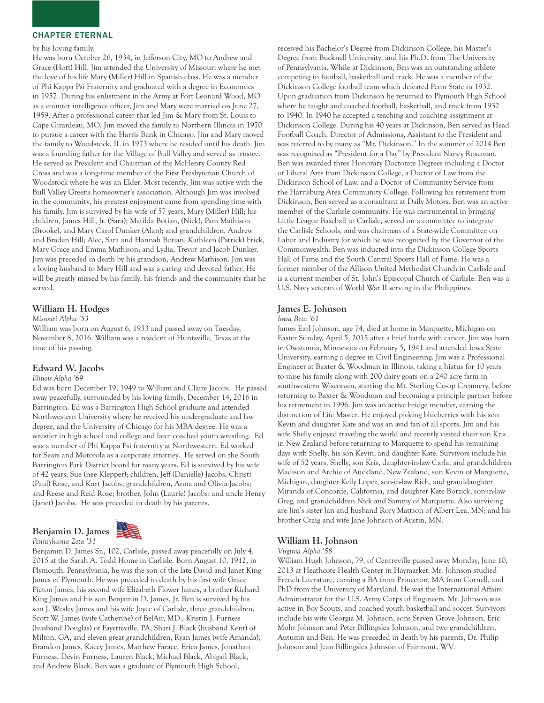#### by his loving family.

He was born October 26, 1934, in Jefferson City, MO to Andrew and Grace (Hott) Hill. Jim attended the University of Missouri where he met the love of his life Mary (Miller) Hill in Spanish class. He was a member of Phi Kappa Psi Fraternity and graduated with a degree in Economics in 1957. During his enlistment in the Army at Fort Leonard Wood, MO as a counter intelligence officer, Jim and Mary were married on June 27, 1959. After a professional career that led Jim & Mary from St. Louis to Cape Girardeau, MO, Jim moved the family to Northern Illinois in 1970 to pursue a career with the Harris Bank in Chicago. Jim and Mary moved the family to Woodstock, IL in 1973 where he resided until his death. Jim was a founding father for the Village of Bull Valley and served as trustee. He served as President and Chairman of the McHenry County Red Cross and was a long-time member of the First Presbyterian Church of Woodstock where he was an Elder. Most recently, Jim was active with the Bull Valley Greens homeowner's association. Although Jim was involved in the community, his greatest enjoyment came from spending time with his family. Jim is survived by his wife of 57 years, Mary (Miller) Hill; his children, James Hill, Jr. (Sara); Matilda Botian, (Nick), Pam Mathison (Brooke), and Mary Carol Dunker (Alan); and grandchildren, Andrew and Braden Hill; Alec, Sara and Hannah Botian; Kathleen (Patrick) Frick, Mary Grace and Emma Mathison; and Lydia, Trevor and Jacob Dunker. Jim was preceded in death by his grandson, Andrew Mathison. Jim was a loving husband to Mary Hill and was a caring and devoted father. He will be greatly missed by his family, his friends and the community that he served.

#### William H. Hodges

#### *Missouri Alpha '53*

William was born on August 6, 1933 and passed away on Tuesday, November 8, 2016. William was a resident of Huntsville, Texas at the time of his passing.

# Edward W. Jacobs

# *Illinois Alpha '69*

Ed was born December 19, 1949 to William and Claire Jacobs. He passed away peacefully, surrounded by his loving family, December 14, 2016 in Barrington. Ed was a Barrington High School graduate and attended Northwestern University where he received his undergraduate and law degree, and the University of Chicago for his MBA degree. He was a wrestler in high school and college and later coached youth wrestling. Ed was a member of Phi Kappa Psi fraternity at Northwestern. Ed worked for Sears and Motorola as a corporate attorney. He served on the South Barrington Park District board for many years. Ed is survived by his wife of 42 years, Sue (nee Klepper); children, Jeff (Danielle) Jacobs, Christi (Paul) Rose, and Kurt Jacobs; grandchildren, Anna and Olivia Jacobs; and Reese and Reid Rose; brother, John (Laurie) Jacobs; and uncle Henry (Janet) Jacobs. He was preceded in death by his parents.

Benjamin D. James *Pennsylvania Zeta '31*



Benjamin D. James Sr., 102, Carlisle, passed away peacefully on July 4, 2015 at the Sarah A. Todd Home in Carlisle. Born August 10, 1912, in Plymouth, Pennsylvania, he was the son of the late David and Janet King James of Plymouth. He was preceded in death by his first wife Grace Picton James, his second wife Elizabeth Flower James, a brother Richard King James and his son Benjamin D. James, Jr. Ben is survived by his son J. Wesley James and his wife Joyce of Carlisle, three grandchildren, Scott W. James (wife Catherine) of BelAir, MD., Kristin J. Furness (husband Douglas) of Fayetteville, PA, Shari J. Black (husband Kent) of Milton, GA, and eleven great grandchildren, Ryan James (wife Amanda), Brandon James, Kacey James, Matthew Farace, Erica James, Jonathan Furness, Devin Furness, Lauren Black, Michael Black, Abigail Black, and Andrew Black. Ben was a graduate of Plymouth High School,

received his Bachelor's Degree from Dickinson College, his Master's Degree from Bucknell University, and his Ph.D. from The University of Pennsylvania. While at Dickinson, Ben was an outstanding athlete competing in football, basketball and track. He was a member of the Dickinson College football team which defeated Penn State in 1932. Upon graduation from Dickinson he returned to Plymouth High School where he taught and coached football, basketball, and track from 1932 to 1940. In 1940 he accepted a teaching and coaching assignment at Dickinson College. During his 40 years at Dickinson, Ben served as Head Football Coach, Director of Admissions, Assistant to the President and was referred to by many as "Mr. Dickinson." In the summer of 2014 Ben was recognized as "President for a Day" by President Nancy Roseman. Ben was awarded three Honorary Doctorate Degrees including a Doctor of Liberal Arts from Dickinson College, a Doctor of Law from the Dickinson School of Law, and a Doctor of Community Service from the Harrisburg Area Community College. Following his retirement from Dickinson, Ben served as a consultant at Daily Motors. Ben was an active member of the Carlisle community. He was instrumental in bringing Little League Baseball to Carlisle, served on a committee to integrate the Carlisle Schools, and was chairman of a State-wide Committee on Labor and Industry for which he was recognized by the Governor of the Commonwealth. Ben was inducted into the Dickinson College Sports Hall of Fame and the South Central Sports Hall of Fame. He was a former member of the Allison United Methodist Church in Carlisle and is a current member of St. John's Episcopal Church of Carlisle. Ben was a U.S. Navy veteran of World War II serving in the Philippines.

# James E. Johnson

#### *Iowa Beta '61*

James Earl Johnson, age 74, died at home in Marquette, Michigan on Easter Sunday, April 5, 2015 after a brief battle with cancer. Jim was born in Owatonna, Minnesota on February 5, 1941 and attended Iowa State University, earning a degree in Civil Engineering. Jim was a Professional Engineer at Baxter & Woodman in Illinois, taking a hiatus for 10 years to raise his family along with 200 dairy goats on a 240 acre farm in southwestern Wisconsin, starting the Mt. Sterling Co-op Creamery, before returning to Baxter & Woodman and becoming a principle partner before his retirement in 1996. Jim was an active bridge member, earning the distinction of Life Master. He enjoyed picking blueberries with his son Kevin and daughter Kate and was an avid fan of all sports. Jim and his wife Shelly enjoyed traveling the world and recently visited their son Kris in New Zealand before returning to Marquette to spend his remaining days with Shelly, his son Kevin, and daughter Kate. Survivors include his wife of 52 years, Shelly, son Kris, daughter-in-law Carla, and grandchildren Madison and Archie of Auckland, New Zealand, son Kevin of Marquette, Michigan, daughter Kelly Lopez, son-in-law Rich, and granddaughter Miranda of Concorde, California, and daughter Kate Borzick, son-in-law Greg, and grandchildren Nick and Sammy of Marquette. Also surviving are Jim's sister Jan and husband Rory Mattson of Albert Lea, MN; and his brother Craig and wife Jane Johnson of Austin, MN.

# William H. Johnson

#### *Virginia Alpha '58*

William Hugh Johnson, 79, of Centreville passed away Monday, June 10, 2013 at Heathcote Health Center in Haymarket. Mr. Johnson studied French Literature, earning a BA from Princeton, MA from Cornell, and PhD from the University of Maryland. He was the International Affairs Administrator for the U.S. Army Corps of Engineers. Mr. Johnson was active in Boy Scouts, and coached youth basketball and soccer. Survivors include his wife Georgia M. Johnson, sons Steven Grove Johnson, Eric Mohr Johnson and Peter Billingslea Johnson, and two grandchildren, Autumn and Ben. He was preceded in death by his parents, Dr. Philip Johnson and Jean Billingslea Johnson of Fairmont, WV.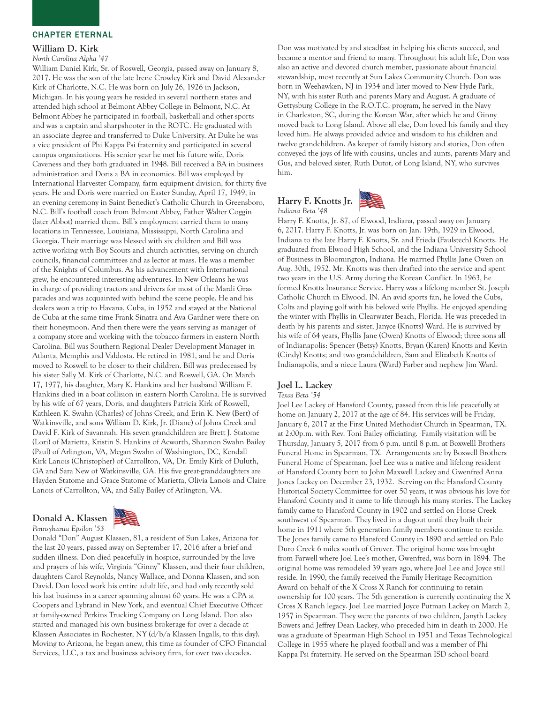#### William D. Kirk

*North Carolina Alpha '47*

William Daniel Kirk, Sr. of Roswell, Georgia, passed away on January 8, 2017. He was the son of the late Irene Crowley Kirk and David Alexander Kirk of Charlotte, N.C. He was born on July 26, 1926 in Jackson, Michigan. In his young years he resided in several northern states and attended high school at Belmont Abbey College in Belmont, N.C. At Belmont Abbey he participated in football, basketball and other sports and was a captain and sharpshooter in the ROTC. He graduated with an associate degree and transferred to Duke University. At Duke he was a vice president of Phi Kappa Psi fraternity and participated in several campus organizations. His senior year he met his future wife, Doris Caveness and they both graduated in 1948. Bill received a BA in business administration and Doris a BA in economics. Bill was employed by International Harvester Company, farm equipment division, for thirty five years. He and Doris were married on Easter Sunday, April 17, 1949, in an evening ceremony in Saint Benedict's Catholic Church in Greensboro, N.C. Bill's football coach from Belmont Abbey, Father Walter Coggin (later Abbot) married them. Bill's employment carried them to many locations in Tennessee, Louisiana, Mississippi, North Carolina and Georgia. Their marriage was blessed with six children and Bill was active working with Boy Scouts and church activities, serving on church councils, financial committees and as lector at mass. He was a member of the Knights of Columbus. As his advancement with International grew, he encountered interesting adventures. In New Orleans he was in charge of providing tractors and drivers for most of the Mardi Gras parades and was acquainted with behind the scene people. He and his dealers won a trip to Havana, Cuba, in 1952 and stayed at the National de Cuba at the same time Frank Sinatra and Ava Gardner were there on their honeymoon. And then there were the years serving as manager of a company store and working with the tobacco farmers in eastern North Carolina. Bill was Southern Regional Dealer Development Manager in Atlanta, Memphis and Valdosta. He retired in 1981, and he and Doris moved to Roswell to be closer to their children. Bill was predeceased by his sister Sally M. Kirk of Charlotte, N.C. and Roswell, GA. On March 17, 1977, his daughter, Mary K. Hankins and her husband William F. Hankins died in a boat collision in eastern North Carolina. He is survived by his wife of 67 years, Doris, and daughters Patricia Kirk of Roswell, Kathleen K. Swahn (Charles) of Johns Creek, and Erin K. New (Bert) of Watkinsville, and sons William D. Kirk, Jr. (Diane) of Johns Creek and David F. Kirk of Savannah. His seven grandchildren are Brett J. Statome (Lori) of Marietta, Kristin S. Hankins of Acworth, Shannon Swahn Bailey (Paul) of Arlington, VA, Megan Swahn of Washington, DC, Kendall Kirk Lanois (Christopher) of Carrollton, VA, Dr. Emily Kirk of Duluth, GA and Sara New of Watkinsville, GA. His five great-granddaughters are Hayden Statome and Grace Statome of Marietta, Olivia Lanois and Claire Lanois of Carrollton, VA, and Sally Bailey of Arlington, VA.

# Donald A. Klassen



*Pennsylvania Epsilon '53* Donald "Don" August Klassen, 81, a resident of Sun Lakes, Arizona for the last 20 years, passed away on September 17, 2016 after a brief and sudden illness. Don died peacefully in hospice, surrounded by the love and prayers of his wife, Virginia "Ginny" Klassen, and their four children, daughters Carol Reynolds, Nancy Wallace, and Donna Klassen, and son David. Don loved work his entire adult life, and had only recently sold his last business in a career spanning almost 60 years. He was a CPA at Coopers and Lybrand in New York, and eventual Chief Executive Officer at family-owned Perkins Trucking Company on Long Island. Don also started and managed his own business brokerage for over a decade at Klassen Associates in Rochester, NY (d/b/a Klassen Ingalls, to this day). Moving to Arizona, he began anew, this time as founder of CFO Financial Services, LLC, a tax and business advisory firm, for over two decades.

Don was motivated by and steadfast in helping his clients succeed, and became a mentor and friend to many. Throughout his adult life, Don was also an active and devoted church member, passionate about financial stewardship, most recently at Sun Lakes Community Church. Don was born in Weehawken, NJ in 1934 and later moved to New Hyde Park, NY, with his sister Ruth and parents Mary and August. A graduate of Gettysburg College in the R.O.T.C. program, he served in the Navy in Charleston, SC, during the Korean War, after which he and Ginny moved back to Long Island. Above all else, Don loved his family and they loved him. He always provided advice and wisdom to his children and twelve grandchildren. As keeper of family history and stories, Don often conveyed the joys of life with cousins, uncles and aunts, parents Mary and Gus, and beloved sister, Ruth Dutot, of Long Island, NY, who survives him.

# Harry F. Knotts Jr. *Indiana Beta '48*



Harry F. Knotts, Jr. 87, of Elwood, Indiana, passed away on January 6, 2017. Harry F. Knotts, Jr. was born on Jan. 19th, 1929 in Elwood, Indiana to the late Harry F. Knotts, Sr. and Frieda (Faulstech) Knotts. He graduated from Elwood High School, and the Indiana University School of Business in Bloomington, Indiana. He married Phyllis Jane Owen on Aug. 30th, 1952. Mr. Knotts was then drafted into the service and spent two years in the U.S. Army during the Korean Conflict. In 1963, he formed Knotts Insurance Service. Harry was a lifelong member St. Joseph Catholic Church in Elwood, IN. An avid sports fan, he loved the Cubs, Colts and playing golf with his beloved wife Phyllis. He enjoyed spending the winter with Phyllis in Clearwater Beach, Florida. He was preceded in death by his parents and sister, Janyce (Knotts) Ward. He is survived by his wife of 64 years, Phyllis Jane (Owen) Knotts of Elwood; three sons all of Indianapolis: Spencer (Betsy) Knotts, Bryan (Karen) Knotts and Kevin (Cindy) Knotts; and two grandchildren, Sam and Elizabeth Knotts of Indianapolis, and a niece Laura (Ward) Farber and nephew Jim Ward.

# Joel L. Lackey

#### *Texas Beta '54*

Joel Lee Lackey of Hansford County, passed from this life peacefully at home on January 2, 2017 at the age of 84. His services will be Friday, January 6, 2017 at the First United Methodist Church in Spearman, TX. at 2:00p.m. with Rev. Toni Bailey officiating. Family visitation will be Thursday, January 5, 2017 from 6 p.m. until 8 p.m. at Boxwelll Brothers Funeral Home in Spearman, TX. Arrangements are by Boxwell Brothers Funeral Home of Spearman. Joel Lee was a native and lifelong resident of Hansford County born to John Maxwell Lackey and Gwenfred Anna Jones Lackey on December 23, 1932. Serving on the Hansford County Historical Society Committee for over 50 years, it was obvious his love for Hansford County and it came to life through his many stories. The Lackey family came to Hansford County in 1902 and settled on Horse Creek southwest of Spearman. They lived in a dugout until they built their home in 1911 where 5th generation family members continue to reside. The Jones family came to Hansford County in 1890 and settled on Palo Duro Creek 6 miles south of Gruver. The original home was brought from Farwell where Joel Lee's mother, Gwenfred, was born in 1894. The original home was remodeled 39 years ago, where Joel Lee and Joyce still reside. In 1990, the family received the Family Heritage Recognition Award on behalf of the X Cross X Ranch for continuing to retain ownership for 100 years. The 5th generation is currently continuing the X Cross X Ranch legacy. Joel Lee married Joyce Putman Lackey on March 2, 1957 in Spearman. They were the parents of two children, Janyth Lackey Bowers and Jeffrey Dean Lackey, who preceded him in death in 2000. He was a graduate of Spearman High School in 1951 and Texas Technological College in 1955 where he played football and was a member of Phi Kappa Psi fraternity. He served on the Spearman ISD school board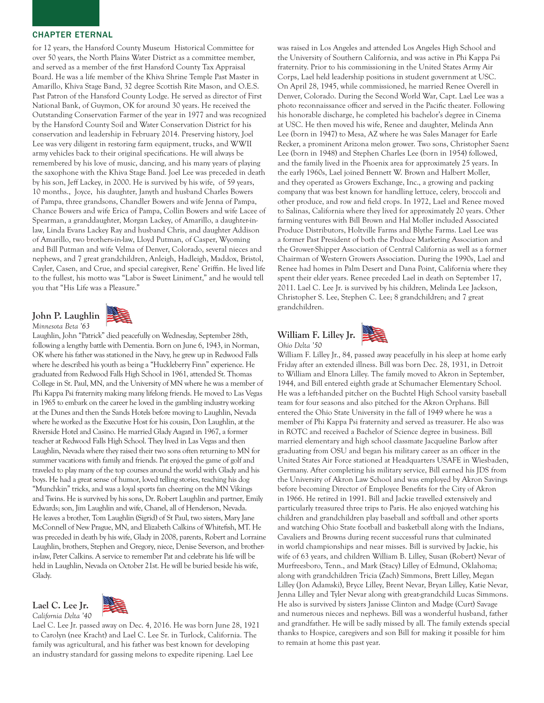for 12 years, the Hansford County Museum Historical Committee for over 50 years, the North Plains Water District as a committee member, and served as a member of the first Hansford County Tax Appraisal Board. He was a life member of the Khiva Shrine Temple Past Master in Amarillo, Khiva Stage Band, 32 degree Scottish Rite Mason, and O.E.S. Past Patron of the Hansford County Lodge. He served as director of First National Bank, of Guymon, OK for around 30 years. He received the Outstanding Conservation Farmer of the year in 1977 and was recognized by the Hansford County Soil and Water Conservation District for his conservation and leadership in February 2014. Preserving history, Joel Lee was very diligent in restoring farm equipment, trucks, and WWII army vehicles back to their original specifications. He will always be remembered by his love of music, dancing, and his many years of playing the saxophone with the Khiva Stage Band. Joel Lee was preceded in death by his son, Jeff Lackey, in 2000. He is survived by his wife, of 59 years, 10 months., Joyce, his daughter, Janyth and husband Charles Bowers of Pampa, three grandsons, Chandler Bowers and wife Jenna of Pampa, Chance Bowers and wife Erica of Pampa, Collin Bowers and wife Lacee of Spearman, a granddaughter, Morgan Lackey, of Amarillo, a daughter-inlaw, Linda Evans Lackey Ray and husband Chris, and daughter Addison of Amarillo, two brothers-in-law, Lloyd Putman, of Casper, Wyoming and Bill Putman and wife Velma of Denver, Colorado, several nieces and nephews, and 7 great grandchildren, Anleigh, Hadleigh, Maddox, Bristol, Cayler, Casen, and Crue, and special caregiver, Rene' Griffin. He lived life to the fullest, his motto was "Labor is Sweet Liniment," and he would tell you that "His Life was a Pleasure."

# John P. Laughlin



*California Delta '40* Lael C. Lee Jr. passed away on Dec. 4, 2016. He was born June 28, 1921 to Carolyn (nee Kracht) and Lael C. Lee Sr. in Turlock, California. The

Glady.

Lael C. Lee Jr.

family was agricultural, and his father was best known for developing an industry standard for gassing melons to expedite ripening. Lael Lee was raised in Los Angeles and attended Los Angeles High School and the University of Southern California, and was active in Phi Kappa Psi fraternity. Prior to his commissioning in the United States Army Air Corps, Lael held leadership positions in student government at USC. On April 28, 1945, while commissioned, he married Renee Overell in Denver, Colorado. During the Second World War, Capt. Lael Lee was a photo reconnaissance officer and served in the Pacific theater. Following his honorable discharge, he completed his bachelor's degree in Cinema at USC. He then moved his wife, Renee and daughter, Melinda Ann Lee (born in 1947) to Mesa, AZ where he was Sales Manager for Earle Recker, a prominent Arizona melon grower. Two sons, Christopher Saenz Lee (born in 1948) and Stephen Charles Lee (born in 1954) followed, and the family lived in the Phoenix area for approximately 25 years. In the early 1960s, Lael joined Bennett W. Brown and Halbert Moller, and they operated as Growers Exchange, Inc., a growing and packing company that was best known for handling lettuce, celery, broccoli and other produce, and row and field crops. In 1972, Lael and Renee moved to Salinas, California where they lived for approximately 20 years. Other farming ventures with Bill Brown and Hal Moller included Associated Produce Distributors, Holtville Farms and Blythe Farms. Lael Lee was a former Past President of both the Produce Marketing Association and the Grower-Shipper Association of Central California as well as a former Chairman of Western Growers Association. During the 1990s, Lael and Renee had homes in Palm Desert and Dana Point, California where they spent their elder years. Renee preceded Lael in death on September 17, 2011. Lael C. Lee Jr. is survived by his children, Melinda Lee Jackson, Christopher S. Lee, Stephen C. Lee; 8 grandchildren; and 7 great grandchildren.

# William F. Lilley Jr. *Ohio Delta '50*



William F. Lilley Jr., 84, passed away peacefully in his sleep at home early Friday after an extended illness. Bill was born Dec. 28, 1931, in Detroit to William and Elnora Lilley. The family moved to Akron in September, 1944, and Bill entered eighth grade at Schumacher Elementary School. He was a left-handed pitcher on the Buchtel High School varsity baseball team for four seasons and also pitched for the Akron Orphans. Bill entered the Ohio State University in the fall of 1949 where he was a member of Phi Kappa Psi fraternity and served as treasurer. He also was in ROTC and received a Bachelor of Science degree in business. Bill married elementary and high school classmate Jacqueline Barlow after graduating from OSU and began his military career as an officer in the United States Air Force stationed at Headquarters USAFE in Wiesbaden, Germany. After completing his military service, Bill earned his JDS from the University of Akron Law School and was employed by Akron Savings before becoming Director of Employee Benefits for the City of Akron in 1966. He retired in 1991. Bill and Jackie travelled extensively and particularly treasured three trips to Paris. He also enjoyed watching his children and grandchildren play baseball and softball and other sports and watching Ohio State football and basketball along with the Indians, Cavaliers and Browns during recent successful runs that culminated in world championships and near misses. Bill is survived by Jackie, his wife of 63 years, and children William B. Lilley, Susan (Robert) Nevar of Murfreesboro, Tenn., and Mark (Stacy) Lilley of Edmund, Oklahoma; along with grandchildren Tricia (Zach) Simmons, Brett Lilley, Megan Lilley (Jon Adamski), Bryce Lilley, Brent Nevar, Bryan Lilley, Katie Nevar, Jenna Lilley and Tyler Nevar along with great-grandchild Lucas Simmons. He also is survived by sisters Janisse Clinton and Madge (Curt) Savage and numerous nieces and nephews. Bill was a wonderful husband, father and grandfather. He will be sadly missed by all. The family extends special thanks to Hospice, caregivers and son Bill for making it possible for him to remain at home this past year.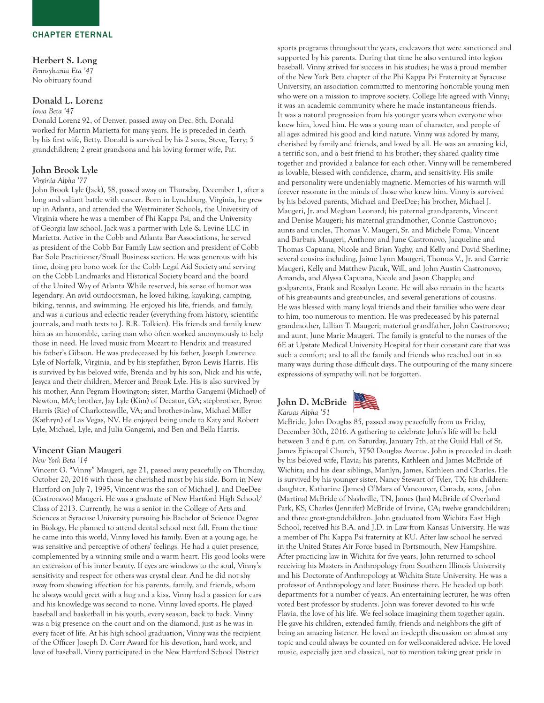# Herbert S. Long

*Pennsylvania Eta '47* No obituary found

# Donald L. Lorenz

#### *Iowa Beta '47*

Donald Lorenz 92, of Denver, passed away on Dec. 8th. Donald worked for Martin Marietta for many years. He is preceded in death by his first wife, Betty. Donald is survived by his 2 sons, Steve, Terry; 5 grandchildren; 2 great grandsons and his loving former wife, Pat.

#### John Brook Lyle

#### *Virginia Alpha '77*

John Brook Lyle (Jack), 58, passed away on Thursday, December 1, after a long and valiant battle with cancer. Born in Lynchburg, Virginia, he grew up in Atlanta, and attended the Westminster Schools, the University of Virginia where he was a member of Phi Kappa Psi, and the University of Georgia law school. Jack was a partner with Lyle & Levine LLC in Marietta. Active in the Cobb and Atlanta Bar Associations, he served as president of the Cobb Bar Family Law section and president of Cobb Bar Sole Practitioner/Small Business section. He was generous with his time, doing pro bono work for the Cobb Legal Aid Society and serving on the Cobb Landmarks and Historical Society board and the board of the United Way of Atlanta While reserved, his sense of humor was legendary. An avid outdoorsman, he loved hiking, kayaking, camping, biking, tennis, and swimming. He enjoyed his life, friends, and family, and was a curious and eclectic reader (everything from history, scientific journals, and math texts to J. R.R. Tolkien). His friends and family knew him as an honorable, caring man who often worked anonymously to help those in need. He loved music from Mozart to Hendrix and treasured his father's Gibson. He was predeceased by his father, Joseph Lawrence Lyle of Norfolk, Virginia, and by his stepfather, Byron Lewis Harris. His is survived by his beloved wife, Brenda and by his son, Nick and his wife, Jesyca and their children, Mercer and Brook Lyle. His is also survived by his mother, Ann Pegram Howington; sister, Martha Gangemi (Michael) of Newton, MA; brother, Jay Lyle (Kim) of Decatur, GA; stepbrother, Byron Harris (Rie) of Charlottesville, VA; and brother-in-law, Michael Miller (Kathryn) of Las Vegas, NV. He enjoyed being uncle to Katy and Robert Lyle, Michael, Lyle, and Julia Gangemi, and Ben and Bella Harris.

#### Vincent Gian Maugeri

#### *New York Beta '14*

Vincent G. "Vinny" Maugeri, age 21, passed away peacefully on Thursday, October 20, 2016 with those he cherished most by his side. Born in New Hartford on July 7, 1995, Vincent was the son of Michael J. and DeeDee (Castronovo) Maugeri. He was a graduate of New Hartford High School/ Class of 2013. Currently, he was a senior in the College of Arts and Sciences at Syracuse University pursuing his Bachelor of Science Degree in Biology. He planned to attend dental school next fall. From the time he came into this world, Vinny loved his family. Even at a young age, he was sensitive and perceptive of others' feelings. He had a quiet presence, complemented by a winning smile and a warm heart. His good looks were an extension of his inner beauty. If eyes are windows to the soul, Vinny's sensitivity and respect for others was crystal clear. And he did not shy away from showing affection for his parents, family, and friends, whom he always would greet with a hug and a kiss. Vinny had a passion for cars and his knowledge was second to none. Vinny loved sports. He played baseball and basketball in his youth, every season, back to back. Vinny was a big presence on the court and on the diamond, just as he was in every facet of life. At his high school graduation, Vinny was the recipient of the Officer Joseph D. Corr Award for his devotion, hard work, and love of baseball. Vinny participated in the New Hartford School District

sports programs throughout the years, endeavors that were sanctioned and supported by his parents. During that time he also ventured into legion baseball. Vinny strived for success in his studies; he was a proud member of the New York Beta chapter of the Phi Kappa Psi Fraternity at Syracuse University, an association committed to mentoring honorable young men who were on a mission to improve society. College life agreed with Vinny; it was an academic community where he made instantaneous friends. It was a natural progression from his younger years when everyone who knew him, loved him. He was a young man of character, and people of all ages admired his good and kind nature. Vinny was adored by many, cherished by family and friends, and loved by all. He was an amazing kid, a terrific son, and a best friend to his brother; they shared quality time together and provided a balance for each other. Vinny will be remembered as lovable, blessed with confidence, charm, and sensitivity. His smile and personality were undeniably magnetic. Memories of his warmth will forever resonate in the minds of those who knew him. Vinny is survived by his beloved parents, Michael and DeeDee; his brother, Michael J. Maugeri, Jr. and Meghan Leonard; his paternal grandparents, Vincent and Denise Maugeri; his maternal grandmother, Connie Castronovo; aunts and uncles, Thomas V. Maugeri, Sr. and Michele Poma, Vincent and Barbara Maugeri, Anthony and June Castronovo, Jacqueline and Thomas Capuana, Nicole and Brian Yaghy, and Kelly and David Sherline; several cousins including, Jaime Lynn Maugeri, Thomas V., Jr. and Carrie Maugeri, Kelly and Matthew Pacuk, Will, and John Austin Castronovo, Amanda, and Alyssa Capuana, Nicole and Jason Chapple; and godparents, Frank and Rosalyn Leone. He will also remain in the hearts of his great-aunts and great-uncles, and several generations of cousins. He was blessed with many loyal friends and their families who were dear to him, too numerous to mention. He was predeceased by his paternal grandmother, Lillian T. Maugeri; maternal grandfather, John Castronovo; and aunt, June Marie Maugeri. The family is grateful to the nurses of the 6E at Upstate Medical University Hospital for their constant care that was such a comfort; and to all the family and friends who reached out in so many ways during those difficult days. The outpouring of the many sincere expressions of sympathy will not be forgotten.





McBride, John Douglas 85, passed away peacefully from us Friday, December 30th, 2016. A gathering to celebrate John's life will be held between 3 and 6 p.m. on Saturday, January 7th, at the Guild Hall of St. James Episcopal Church, 3750 Douglas Avenue. John is preceded in death by his beloved wife, Flavia; his parents, Kathleen and James McBride of Wichita; and his dear siblings, Marilyn, James, Kathleen and Charles. He is survived by his younger sister, Nancy Stewart of Tyler, TX; his children: daughter, Katharine (James) O'Mara of Vancouver, Canada, sons, John (Martina) McBride of Nashville, TN, James (Jan) McBride of Overland Park, KS, Charles (Jennifer) McBride of Irvine, CA; twelve grandchildren; and three great-grandchildren. John graduated from Wichita East High School, received his B.A. and J.D. in Law from Kansas University. He was a member of Phi Kappa Psi fraternity at KU. After law school he served in the United States Air Force based in Portsmouth, New Hampshire. After practicing law in Wichita for five years, John returned to school receiving his Masters in Anthropology from Southern Illinois University and his Doctorate of Anthropology at Wichita State University. He was a professor of Anthropology and later Business there. He headed up both departments for a number of years. An entertaining lecturer, he was often voted best professor by students. John was forever devoted to his wife Flavia, the love of his life. We feel solace imagining them together again. He gave his children, extended family, friends and neighbors the gift of being an amazing listener. He loved an in-depth discussion on almost any topic and could always be counted on for well-considered advice. He loved music, especially jazz and classical, not to mention taking great pride in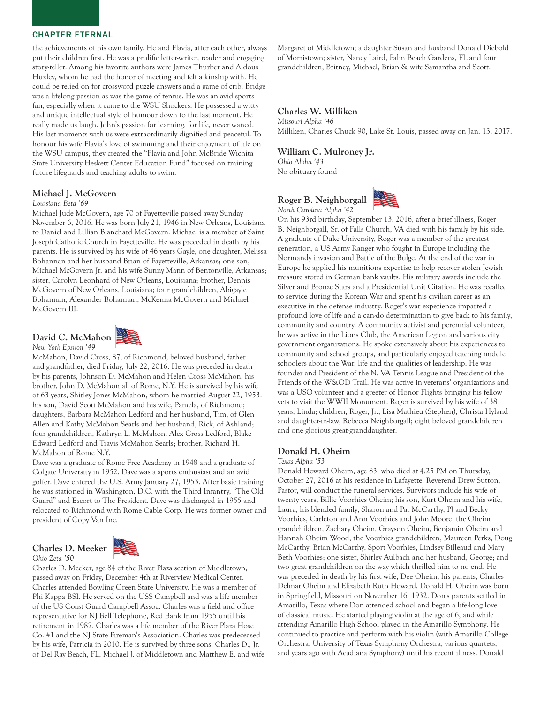the achievements of his own family. He and Flavia, after each other, always put their children first. He was a prolific letter-writer, reader and engaging story-teller. Among his favorite authors were James Thurber and Aldous Huxley, whom he had the honor of meeting and felt a kinship with. He could be relied on for crossword puzzle answers and a game of crib. Bridge was a lifelong passion as was the game of tennis. He was an avid sports fan, especially when it came to the WSU Shockers. He possessed a witty and unique intellectual style of humour down to the last moment. He really made us laugh. John's passion for learning, for life, never waned. His last moments with us were extraordinarily dignified and peaceful. To honour his wife Flavia's love of swimming and their enjoyment of life on the WSU campus, they created the "Flavia and John McBride Wichita State University Heskett Center Education Fund" focused on training future lifeguards and teaching adults to swim.

#### Michael J. McGovern

#### *Louisiana Beta '69*

Michael Jude McGovern, age 70 of Fayetteville passed away Sunday November 6, 2016. He was born July 21, 1946 in New Orleans, Louisiana to Daniel and Lillian Blanchard McGovern. Michael is a member of Saint Joseph Catholic Church in Fayetteville. He was preceded in death by his parents. He is survived by his wife of 46 years Gayle, one daughter, Melissa Bohannan and her husband Brian of Fayetteville, Arkansas; one son, Michael McGovern Jr. and his wife Sunny Mann of Bentonville, Arkansas; sister, Carolyn Leonhard of New Orleans, Louisiana; brother, Dennis McGovern of New Orleans, Louisiana; four grandchildren, Abigayle Bohannan, Alexander Bohannan, McKenna McGovern and Michael McGovern III.

# David C. McMahon





McMahon, David Cross, 87, of Richmond, beloved husband, father and grandfather, died Friday, July 22, 2016. He was preceded in death by his parents, Johnson D. McMahon and Helen Cross McMahon, his brother, John D. McMahon all of Rome, N.Y. He is survived by his wife of 63 years, Shirley Jones McMahon, whom he married August 22, 1953. his son, David Scott McMahon and his wife, Pamela, of Richmond; daughters, Barbara McMahon Ledford and her husband, Tim, of Glen Allen and Kathy McMahon Searls and her husband, Rick, of Ashland; four grandchildren, Kathryn L. McMahon, Alex Cross Ledford, Blake Edward Ledford and Travis McMahon Searls; brother, Richard H. McMahon of Rome N.Y.

Dave was a graduate of Rome Free Academy in 1948 and a graduate of Colgate University in 1952. Dave was a sports enthusiast and an avid golfer. Dave entered the U.S. Army January 27, 1953. After basic training he was stationed in Washington, D.C. with the Third Infantry, "The Old Guard" and Escort to The President. Dave was discharged in 1955 and relocated to Richmond with Rome Cable Corp. He was former owner and president of Copy Van Inc.

# Charles D. Meeker





Charles D. Meeker, age 84 of the River Plaza section of Middletown, passed away on Friday, December 4th at Riverview Medical Center. Charles attended Bowling Green State University. He was a member of Phi Kappa BSI. He served on the USS Campbell and was a life member of the US Coast Guard Campbell Assoc. Charles was a field and office representative for NJ Bell Telephone, Red Bank from 1955 until his retirement in 1987. Charles was a life member of the River Plaza Hose Co. #1 and the NJ State Fireman's Association. Charles was predeceased by his wife, Patricia in 2010. He is survived by three sons, Charles D., Jr. of Del Ray Beach, FL, Michael J. of Middletown and Matthew E. and wife Margaret of Middletown; a daughter Susan and husband Donald Diebold of Morristown; sister, Nancy Laird, Palm Beach Gardens, FL and four grandchildren, Britney, Michael, Brian & wife Samantha and Scott.

#### Charles W. Milliken

*Missouri Alpha '46* Milliken, Charles Chuck 90, Lake St. Louis, passed away on Jan. 13, 2017.

#### William C. Mulroney Jr.

*Ohio Alpha '43* No obituary found

Roger B. Neighborgall *North Carolina Alpha '42*



On his 93rd birthday, September 13, 2016, after a brief illness, Roger B. Neighborgall, Sr. of Falls Church, VA died with his family by his side. A graduate of Duke University, Roger was a member of the greatest generation, a US Army Ranger who fought in Europe including the Normandy invasion and Battle of the Bulge. At the end of the war in Europe he applied his munitions expertise to help recover stolen Jewish treasure stored in German bank vaults. His military awards include the Silver and Bronze Stars and a Presidential Unit Citation. He was recalled to service during the Korean War and spent his civilian career as an executive in the defense industry. Roger's war experience imparted a profound love of life and a can-do determination to give back to his family, community and country. A community activist and perennial volunteer, he was active in the Lions Club, the American Legion and various city government organizations. He spoke extensively about his experiences to community and school groups, and particularly enjoyed teaching middle schoolers about the War, life and the qualities of leadership. He was founder and President of the N. VA Tennis League and President of the Friends of the W&OD Trail. He was active in veterans' organizations and was a USO volunteer and a greeter of Honor Flights bringing his fellow vets to visit the WWII Monument. Roger is survived by his wife of 38 years, Linda; children, Roger, Jr., Lisa Mathieu (Stephen), Christa Hyland and daughter-in-law, Rebecca Neighborgall; eight beloved grandchildren and one glorious great-granddaughter.

#### Donald H. Oheim

*Texas Alpha '53*

Donald Howard Oheim, age 83, who died at 4:25 PM on Thursday, October 27, 2016 at his residence in Lafayette. Reverend Drew Sutton, Pastor, will conduct the funeral services. Survivors include his wife of twenty years, Billie Voorhies Oheim; his son, Kurt Oheim and his wife, Laura, his blended family, Sharon and Pat McCarthy, PJ and Becky Voorhies, Carleton and Ann Voorhies and John Moore; the Oheim grandchildren, Zachary Oheim, Grayson Oheim, Benjamin Oheim and Hannah Oheim Wood; the Voorhies grandchildren, Maureen Perks, Doug McCarthy, Brian McCarthy, Sport Voorhies, Lindsey Billeaud and Mary Beth Voorhies; one sister, Shirley Aulbach and her husband, George; and two great grandchildren on the way which thrilled him to no end. He was preceded in death by his first wife, Dee Oheim, his parents, Charles Delmar Oheim and Elizabeth Ruth Howard. Donald H. Oheim was born in Springfield, Missouri on November 16, 1932. Don's parents settled in Amarillo, Texas where Don attended school and began a life-long love of classical music. He started playing violin at the age of 6, and while attending Amarillo High School played in the Amarillo Symphony. He continued to practice and perform with his violin (with Amarillo College Orchestra, University of Texas Symphony Orchestra, various quartets, and years ago with Acadiana Symphony) until his recent illness. Donald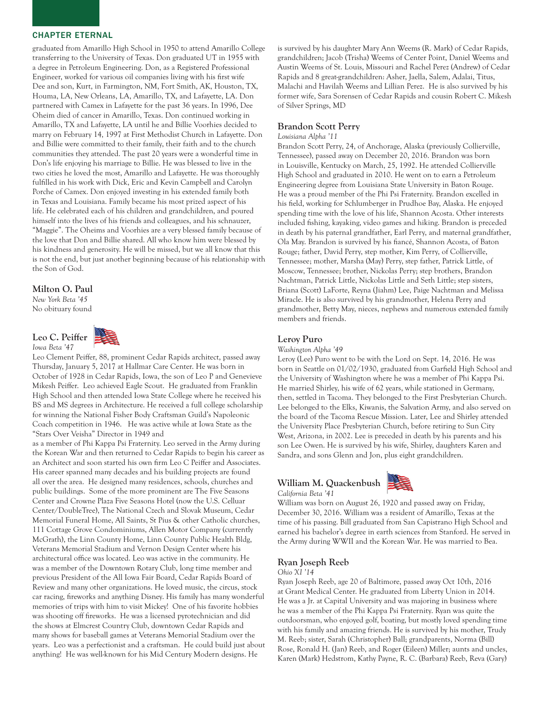graduated from Amarillo High School in 1950 to attend Amarillo College transferring to the University of Texas. Don graduated UT in 1955 with a degree in Petroleum Engineering. Don, as a Registered Professional Engineer, worked for various oil companies living with his first wife Dee and son, Kurt, in Farmington, NM, Fort Smith, AK, Houston, TX, Houma, LA, New Orleans, LA, Amarillo, TX, and Lafayette, LA. Don partnered with Camex in Lafayette for the past 36 years. In 1996, Dee Oheim died of cancer in Amarillo, Texas. Don continued working in Amarillo, TX and Lafayette, LA until he and Billie Voorhies decided to marry on February 14, 1997 at First Methodist Church in Lafayette. Don and Billie were committed to their family, their faith and to the church communities they attended. The past 20 years were a wonderful time in Don's life enjoying his marriage to Billie. He was blessed to live in the two cities he loved the most, Amarillo and Lafayette. He was thoroughly fulfilled in his work with Dick, Eric and Kevin Campbell and Carolyn Porche of Camex. Don enjoyed investing in his extended family both in Texas and Louisiana. Family became his most prized aspect of his life. He celebrated each of his children and grandchildren, and poured himself into the lives of his friends and colleagues, and his schnauzer, "Maggie". The Oheims and Voorhies are a very blessed family because of the love that Don and Billie shared. All who know him were blessed by his kindness and generosity. He will be missed, but we all know that this is not the end, but just another beginning because of his relationship with the Son of God.

# Milton O. Paul

*New York Beta '45* No obituary found

Leo C. Peiffer *Iowa Beta '47*



Leo Clement Peiffer, 88, prominent Cedar Rapids architect, passed away Thursday, January 5, 2017 at Hallmar Care Center. He was born in October of 1928 in Cedar Rapids, Iowa, the son of Leo P and Genevieve Mikesh Peiffer. Leo achieved Eagle Scout. He graduated from Franklin High School and then attended Iowa State College where he received his BS and MS degrees in Architecture. He received a full college scholarship for winning the National Fisher Body Craftsman Guild's Napoleonic Coach competition in 1946. He was active while at Iowa State as the "Stars Over Veisha" Director in 1949 and

as a member of Phi Kappa Psi Fraternity. Leo served in the Army during the Korean War and then returned to Cedar Rapids to begin his career as an Architect and soon started his own firm Leo C Peiffer and Associates. His career spanned many decades and his building projects are found all over the area. He designed many residences, schools, churches and public buildings. Some of the more prominent are The Five Seasons Center and Crowne Plaza Five Seasons Hotel (now the U.S. Celluar Center/DoubleTree), The National Czech and Slovak Museum, Cedar Memorial Funeral Home, All Saints, St Pius & other Catholic churches, 111 Cottage Grove Condominiums, Allen Motor Company (currently McGrath), the Linn County Home, Linn County Public Health Bldg, Veterans Memorial Stadium and Vernon Design Center where his architectural office was located. Leo was active in the community. He was a member of the Downtown Rotary Club, long time member and previous President of the All Iowa Fair Board, Cedar Rapids Board of Review and many other organizations. He loved music, the circus, stock car racing, fireworks and anything Disney. His family has many wonderful memories of trips with him to visit Mickey! One of his favorite hobbies was shooting off fireworks. He was a licensed pyrotechnician and did the shows at Elmcrest Country Club, downtown Cedar Rapids and many shows for baseball games at Veterans Memorial Stadium over the years. Leo was a perfectionist and a craftsman. He could build just about anything! He was well-known for his Mid Century Modern designs. He

is survived by his daughter Mary Ann Weems (R. Mark) of Cedar Rapids, grandchildren; Jacob (Trisha) Weems of Center Point, Daniel Weems and Austin Weems of St. Louis, Missouri and Rachel Perez (Andrew) of Cedar Rapids and 8 great-grandchildren: Asher, Jaella, Salem, Adalai, Titus, Malachi and Havilah Weems and Lillian Perez. He is also survived by his former wife, Sara Sorensen of Cedar Rapids and cousin Robert C. Mikesh of Silver Springs, MD

#### Brandon Scott Perry

#### *Louisiana Alpha '11*

Brandon Scott Perry, 24, of Anchorage, Alaska (previously Collierville, Tennessee), passed away on December 20, 2016. Brandon was born in Louisville, Kentucky on March, 25, 1992. He attended Collierville High School and graduated in 2010. He went on to earn a Petroleum Engineering degree from Louisiana State University in Baton Rouge. He was a proud member of the Phi Psi Fraternity. Brandon excelled in his field, working for Schlumberger in Prudhoe Bay, Alaska. He enjoyed spending time with the love of his life, Shannon Acosta. Other interests included fishing, kayaking, video games and hiking. Brandon is preceded in death by his paternal grandfather, Earl Perry, and maternal grandfather, Ola May. Brandon is survived by his fiancé, Shannon Acosta, of Baton Rouge; father, David Perry, step mother, Kim Perry, of Collierville, Tennessee; mother, Marsha (May) Perry, step father, Patrick Little, of Moscow, Tennessee; brother, Nickolas Perry; step brothers, Brandon Nachtman, Patrick Little, Nickolas Little and Seth Little; step sisters, Briana (Scott) LaForte, Reyna (Jiahm) Lee, Paige Nachtman and Melissa Miracle. He is also survived by his grandmother, Helena Perry and grandmother, Betty May, nieces, nephews and numerous extended family members and friends.

# Leroy Puro

*Washington Alpha '49*

Leroy (Lee) Puro went to be with the Lord on Sept. 14, 2016. He was born in Seattle on 01/02/1930, graduated from Garfield High School and the University of Washington where he was a member of Phi Kappa Psi. He married Shirley, his wife of 62 years, while stationed in Germany, then, settled in Tacoma. They belonged to the First Presbyterian Church. Lee belonged to the Elks, Kiwanis, the Salvation Army, and also served on the board of the Tacoma Rescue Mission. Later, Lee and Shirley attended the University Place Presbyterian Church, before retiring to Sun City West, Arizona, in 2002. Lee is preceded in death by his parents and his son Lee Owen. He is survived by his wife, Shirley, daughters Karen and Sandra, and sons Glenn and Jon, plus eight grandchildren.

# William M. Quackenbush *California Beta '41*



William was born on August 26, 1920 and passed away on Friday, December 30, 2016. William was a resident of Amarillo, Texas at the time of his passing. Bill graduated from San Capistrano High School and earned his bachelor's degree in earth sciences from Stanford. He served in the Army during WWII and the Korean War. He was married to Bea.

#### Ryan Joseph Reeb

#### *Ohio XI '14*

Ryan Joseph Reeb, age 20 of Baltimore, passed away Oct 10th, 2016 at Grant Medical Center. He graduated from Liberty Union in 2014. He was a Jr. at Capital University and was majoring in business where he was a member of the Phi Kappa Psi Fraternity. Ryan was quite the outdoorsman, who enjoyed golf, boating, but mostly loved spending time with his family and amazing friends. He is survived by his mother, Trudy M. Reeb; sister, Sarah (Christopher) Ball; grandparents, Norma (Bill) Rose, Ronald H. (Jan) Reeb, and Roger (Eileen) Miller; aunts and uncles, Karen (Mark) Hedstrom, Kathy Payne, R. C. (Barbara) Reeb, Reva (Gary)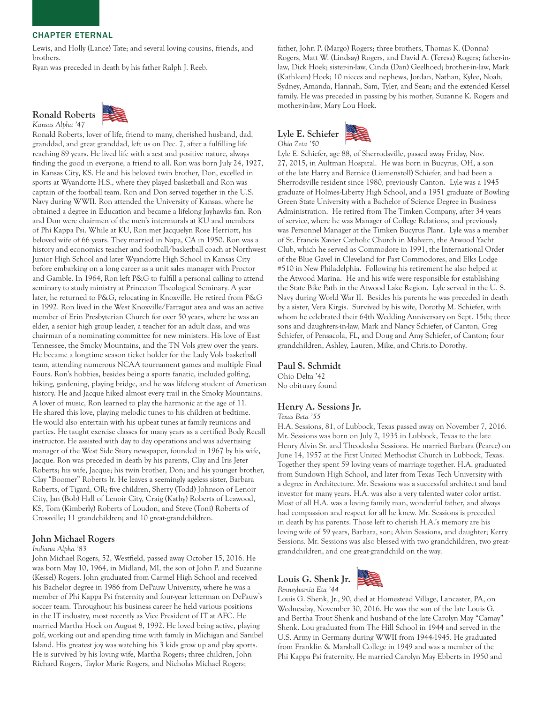Lewis, and Holly (Lance) Tate; and several loving cousins, friends, and brothers.

Ryan was preceded in death by his father Ralph J. Reeb.

#### Ronald Roberts *Kansas Alpha '47*



Ronald Roberts, lover of life, friend to many, cherished husband, dad, granddad, and great granddad, left us on Dec. 7, after a fulfilling life reaching 89 years. He lived life with a zest and positive nature, always finding the good in everyone, a friend to all. Ron was born July 24, 1927, in Kansas City, KS. He and his beloved twin brother, Don, excelled in sports at Wyandotte H.S., where they played basketball and Ron was captain of the football team. Ron and Don served together in the U.S. Navy during WWII. Ron attended the University of Kansas, where he obtained a degree in Education and became a lifelong Jayhawks fan. Ron and Don were chairmen of the men's intermurals at KU and members of Phi Kappa Psi. While at KU, Ron met Jacquelyn Rose Herriott, his beloved wife of 66 years. They married in Napa, CA in 1950. Ron was a history and economics teacher and football/basketball coach at Northwest Junior High School and later Wyandotte High School in Kansas City before embarking on a long career as a unit sales manager with Proctor and Gamble. In 1964, Ron left P&G to fulfill a personal calling to attend seminary to study ministry at Princeton Theological Seminary. A year later, he returned to P&G, relocating in Knoxville. He retired from P&G in 1992. Ron lived in the West Knoxville/Farragut area and was an active member of Erin Presbyterian Church for over 50 years, where he was an elder, a senior high group leader, a teacher for an adult class, and was chairman of a nominating committee for new ministers. His love of East Tennessee, the Smoky Mountains, and the TN Vols grew over the years. He became a longtime season ticket holder for the Lady Vols basketball team, attending numerous NCAA tournament games and multiple Final Fours. Ron's hobbies, besides being a sports fanatic, included golfing, hiking, gardening, playing bridge, and he was lifelong student of American history. He and Jacque hiked almost every trail in the Smoky Mountains. A lover of music, Ron learned to play the harmonic at the age of 11. He shared this love, playing melodic tunes to his children at bedtime. He would also entertain with his upbeat tunes at family reunions and parties. He taught exercise classes for many years as a certified Body Recall instructor. He assisted with day to day operations and was advertising manager of the West Side Story newspaper, founded in 1967 by his wife, Jacque. Ron was preceded in death by his parents, Clay and Iris Jeter Roberts; his wife, Jacque; his twin brother, Don; and his younger brother, Clay "Boomer" Roberts Jr. He leaves a seemingly ageless sister, Barbara Roberts, of Tigard, OR; five children, Sherry (Todd) Johnson of Lenoir City, Jan (Bob) Hall of Lenoir City, Craig (Kathy) Roberts of Leawood, KS, Tom (Kimberly) Roberts of Loudon, and Steve (Toni) Roberts of Crossville; 11 grandchildren; and 10 great-grandchildren.

## John Michael Rogers

#### *Indiana Alpha '83*

John Michael Rogers, 52, Westfield, passed away October 15, 2016. He was born May 10, 1964, in Midland, MI, the son of John P. and Suzanne (Kessel) Rogers. John graduated from Carmel High School and received his Bachelor degree in 1986 from DePauw University, where he was a member of Phi Kappa Psi fraternity and four-year letterman on DePauw's soccer team. Throughout his business career he held various positions in the IT industry, most recently as Vice President of IT at AFC. He married Martha Hoek on August 8, 1992. He loved being active, playing golf, working out and spending time with family in Michigan and Sanibel Island. His greatest joy was watching his 3 kids grow up and play sports. He is survived by his loving wife, Martha Rogers; three children, John Richard Rogers, Taylor Marie Rogers, and Nicholas Michael Rogers;

father, John P. (Margo) Rogers; three brothers, Thomas K. (Donna) Rogers, Matt W. (Lindsay) Rogers, and David A. (Teresa) Rogers; father-inlaw, Dick Hoek; sister-in-law, Cinda (Dan) Geelhoed; brother-in-law, Mark (Kathleen) Hoek; 10 nieces and nephews, Jordan, Nathan, Kylee, Noah, Sydney, Amanda, Hannah, Sam, Tyler, and Sean; and the extended Kessel family. He was preceded in passing by his mother, Suzanne K. Rogers and mother-in-law, Mary Lou Hoek.





Lyle E. Schiefer, age 88, of Sherrodsville, passed away Friday, Nov. 27, 2015, in Aultman Hospital. He was born in Bucyrus, OH, a son of the late Harry and Bernice (Liemenstoll) Schiefer, and had been a Sherrodsville resident since 1980, previously Canton. Lyle was a 1945 graduate of Holmes-Liberty High School, and a 1951 graduate of Bowling Green State University with a Bachelor of Science Degree in Business Administration. He retired from The Timken Company, after 34 years of service, where he was Manager of College Relations, and previously was Personnel Manager at the Timken Bucyrus Plant. Lyle was a member of St. Francis Xavier Catholic Church in Malvern, the Atwood Yacht Club, which he served as Commodore in 1991, the International Order of the Blue Gavel in Cleveland for Past Commodores, and Elks Lodge #510 in New Philadelphia. Following his retirement he also helped at the Atwood Marina. He and his wife were responsible for establishing the State Bike Path in the Atwood Lake Region. Lyle served in the U. S. Navy during World War II. Besides his parents he was preceded in death by a sister, Vera Kirgis. Survived by his wife, Dorothy M. Schiefer, with whom he celebrated their 64th Wedding Anniversary on Sept. 15th; three sons and daughters-in-law, Mark and Nancy Schiefer, of Canton, Greg Schiefer, of Pensacola, FL, and Doug and Amy Schiefer, of Canton; four grandchildren, Ashley, Lauren, Mike, and Chris.to Dorothy.

# Paul S. Schmidt

Ohio Delta '42 No obituary found

# Henry A. Sessions Jr.

#### *Texas Beta '55*

H.A. Sessions, 81, of Lubbock, Texas passed away on November 7, 2016. Mr. Sessions was born on July 2, 1935 in Lubbock, Texas to the late Henry Alvin Sr. and Theodosha Sessions. He married Barbara (Pearce) on June 14, 1957 at the First United Methodist Church in Lubbock, Texas. Together they spent 59 loving years of marriage together. H.A. graduated from Sundown High School, and later from Texas Tech University with a degree in Architecture. Mr. Sessions was a successful architect and land investor for many years. H.A. was also a very talented water color artist. Most of all H.A. was a loving family man, wonderful father, and always had compassion and respect for all he knew. Mr. Sessions is preceded in death by his parents. Those left to cherish H.A.'s memory are his loving wife of 59 years, Barbara, son; Alvin Sessions, and daughter; Kerry Sessions. Mr. Sessions was also blessed with two grandchildren, two greatgrandchildren, and one great-grandchild on the way.

# Louis G. Shenk Jr. *Pennsylvania Eta '44*



Louis G. Shenk, Jr., 90, died at Homestead Village, Lancaster, PA, on Wednesday, November 30, 2016. He was the son of the late Louis G. and Bertha Trout Shenk and husband of the late Carolyn May "Camay" Shenk. Lou graduated from The Hill School in 1944 and served in the U.S. Army in Germany during WWII from 1944-1945. He graduated from Franklin & Marshall College in 1949 and was a member of the Phi Kappa Psi fraternity. He married Carolyn May Ebberts in 1950 and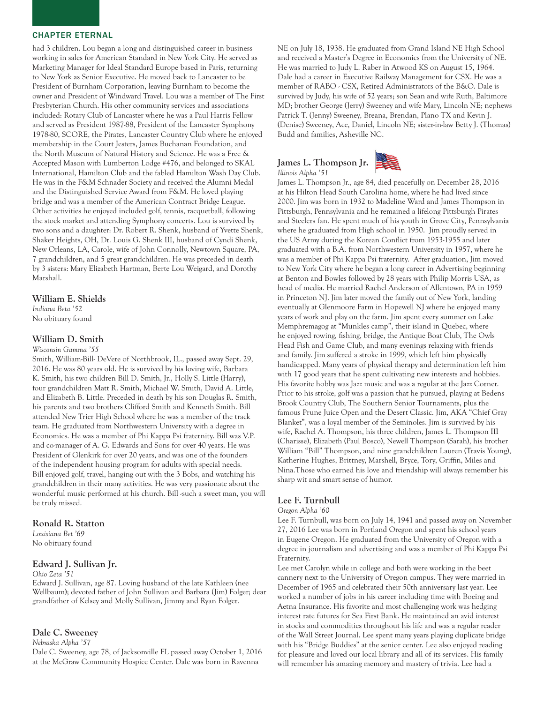had 3 children. Lou began a long and distinguished career in business working in sales for American Standard in New York City. He served as Marketing Manager for Ideal Standard Europe based in Paris, returning to New York as Senior Executive. He moved back to Lancaster to be President of Burnham Corporation, leaving Burnham to become the owner and President of Windward Travel. Lou was a member of The First Presbyterian Church. His other community services and associations included: Rotary Club of Lancaster where he was a Paul Harris Fellow and served as President 1987-88, President of the Lancaster Symphony 1978-80, SCORE, the Pirates, Lancaster Country Club where he enjoyed membership in the Court Jesters, James Buchanan Foundation, and the North Museum of Natural History and Science. He was a Free & Accepted Mason with Lumberton Lodge #476, and belonged to SKAL International, Hamilton Club and the fabled Hamilton Wash Day Club. He was in the F&M Schnader Society and received the Alumni Medal and the Distinguished Service Award from F&M. He loved playing bridge and was a member of the American Contract Bridge League. Other activities he enjoyed included golf, tennis, racquetball, following the stock market and attending Symphony concerts. Lou is survived by two sons and a daughter: Dr. Robert R. Shenk, husband of Yvette Shenk, Shaker Heights, OH, Dr. Louis G. Shenk III, husband of Cyndi Shenk, New Orleans, LA, Carole, wife of John Connolly, Newtown Square, PA, 7 grandchildren, and 5 great grandchildren. He was preceded in death by 3 sisters: Mary Elizabeth Hartman, Berte Lou Weigard, and Dorothy Marshall.

# William E. Shields

*Indiana Beta '52* No obituary found

# William D. Smith

## *Wisconsin Gamma '55*

Smith, William-Bill- DeVere of Northbrook, IL., passed away Sept. 29, 2016. He was 80 years old. He is survived by his loving wife, Barbara K. Smith, his two children Bill D. Smith, Jr., Holly S. Little (Harry), four grandchildren Matt R. Smith, Michael W. Smith, David A. Little, and Elizabeth B. Little. Preceded in death by his son Douglas R. Smith, his parents and two brothers Clifford Smith and Kenneth Smith. Bill attended New Trier High School where he was a member of the track team. He graduated from Northwestern University with a degree in Economics. He was a member of Phi Kappa Psi fraternity. Bill was V.P. and co-manager of A. G. Edwards and Sons for over 40 years. He was President of Glenkirk for over 20 years, and was one of the founders of the independent housing program for adults with special needs. Bill enjoyed golf, travel, hanging out with the 3 Bobs, and watching his grandchildren in their many activities. He was very passionate about the wonderful music performed at his church. Bill -such a sweet man, you will be truly missed.

#### Ronald R. Statton

*Louisiana Bet '69* No obituary found

# Edward J. Sullivan Jr.

*Ohio Zeta '51*

Edward J. Sullivan, age 87. Loving husband of the late Kathleen (nee Wellbaum); devoted father of John Sullivan and Barbara (Jim) Folger; dear grandfather of Kelsey and Molly Sullivan, Jimmy and Ryan Folger.

#### Dale C. Sweeney

*Nebraska Alpha '57*

Dale C. Sweeney, age 78, of Jacksonville FL passed away October 1, 2016 at the McGraw Community Hospice Center. Dale was born in Ravenna

NE on July 18, 1938. He graduated from Grand Island NE High School and received a Master's Degree in Economics from the University of NE. He was married to Judy L. Raber in Atwood KS on August 15, 1964. Dale had a career in Executive Railway Management for CSX. He was a member of RABO - CSX, Retired Administrators of the B&O. Dale is survived by Judy, his wife of 52 years; son Sean and wife Ruth, Baltimore MD; brother George (Jerry) Sweeney and wife Mary, Lincoln NE; nephews Patrick T. (Jenny) Sweeney, Breana, Brendan, Plano TX and Kevin J. (Denise) Sweeney, Ace, Daniel, Lincoln NE; sister-in-law Betty J. (Thomas) Budd and families, Asheville NC.

#### James L. Thompson Jr. *Illinois Alpha '51*



James L. Thompson Jr., age 84, died peacefully on December 28, 2016 at his Hilton Head South Carolina home, where he had lived since 2000. Jim was born in 1932 to Madeline Ward and James Thompson in Pittsburgh, Pennsylvania and he remained a lifelong Pittsburgh Pirates and Steelers fan. He spent much of his youth in Grove City, Pennsylvania where he graduated from High school in 1950. Jim proudly served in the US Army during the Korean Conflict from 1953-1955 and later graduated with a B.A. from Northwestern University in 1957, where he was a member of Phi Kappa Psi fraternity. After graduation, Jim moved to New York City where he began a long career in Advertising beginning at Benton and Bowles followed by 28 years with Philip Morris USA, as head of media. He married Rachel Anderson of Allentown, PA in 1959 in Princeton NJ. Jim later moved the family out of New York, landing eventually at Glenmoore Farm in Hopewell NJ where he enjoyed many years of work and play on the farm. Jim spent every summer on Lake Memphremagog at "Munkles camp", their island in Quebec, where he enjoyed rowing, fishing, bridge, the Antique Boat Club, The Owls Head Fish and Game Club, and many evenings relaxing with friends and family. Jim suffered a stroke in 1999, which left him physically handicapped. Many years of physical therapy and determination left him with 17 good years that he spent cultivating new interests and hobbies. His favorite hobby was Jazz music and was a regular at the Jazz Corner. Prior to his stroke, golf was a passion that he pursued, playing at Bedens Brook Country Club, The Southern Senior Tournaments, plus the famous Prune Juice Open and the Desert Classic. Jim, AKA "Chief Gray Blanket", was a loyal member of the Seminoles. Jim is survived by his wife, Rachel A. Thompson, his three children, James L. Thompson III (Charisse), Elizabeth (Paul Bosco), Newell Thompson (Sarah), his brother William "Bill" Thompson, and nine grandchildren Lauren (Travis Young), Katherine Hughes, Brittney, Marshell, Bryce, Tory, Griffin, Miles and Nina.Those who earned his love and friendship will always remember his sharp wit and smart sense of humor.

# Lee F. Turnbull

#### *Oregon Alpha '60*

Lee F. Turnbull, was born on July 14, 1941 and passed away on November 27, 2016 Lee was born in Portland Oregon and spent his school years in Eugene Oregon. He graduated from the University of Oregon with a degree in journalism and advertising and was a member of Phi Kappa Psi Fraternity.

Lee met Carolyn while in college and both were working in the beet cannery next to the University of Oregon campus. They were married in December of 1965 and celebrated their 50th anniversary last year. Lee worked a number of jobs in his career including time with Boeing and Aetna Insurance. His favorite and most challenging work was hedging interest rate futures for Sea First Bank. He maintained an avid interest in stocks and commodities throughout his life and was a regular reader of the Wall Street Journal. Lee spent many years playing duplicate bridge with his "Bridge Buddies" at the senior center. Lee also enjoyed reading for pleasure and loved our local library and all of its services. His family will remember his amazing memory and mastery of trivia. Lee had a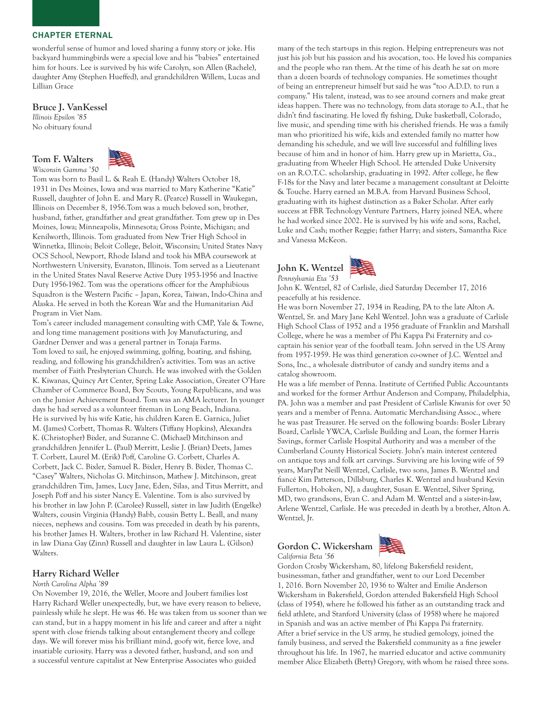wonderful sense of humor and loved sharing a funny story or joke. His backyard hummingbirds were a special love and his "babies" entertained him for hours. Lee is survived by his wife Carolyn, son Allen (Rachele), daughter Amy (Stephen Hueffed), and grandchildren Willem, Lucas and Lillian Grace

# Bruce J. VanKessel

*Illinois Epsilon '85* No obituary found





Tom was born to Basil L. & Reah E. (Handy) Walters October 18, 1931 in Des Moines, Iowa and was married to Mary Katherine "Katie" Russell, daughter of John E. and Mary R. (Pearce) Russell in Waukegan, Illinois on December 8, 1956.Tom was a much beloved son, brother, husband, father, grandfather and great grandfather. Tom grew up in Des Moines, Iowa; Minneapolis, Minnesota; Gross Pointe, Michigan; and Kenilworth, Illinois. Tom graduated from New Trier High School in Winnetka, Illinois; Beloit College, Beloit, Wisconsin; United States Navy OCS School, Newport, Rhode Island and took his MBA coursework at Northwestern University, Evanston, Illinois. Tom served as a Lieutenant in the United States Naval Reserve Active Duty 1953-1956 and Inactive Duty 1956-1962. Tom was the operations officer for the Amphibious Squadron is the Western Pacific – Japan, Korea, Taiwan, Indo-China and Alaska. He served in both the Korean War and the Humanitarian Aid Program in Viet Nam.

Tom's career included management consulting with CMP, Yale & Towne, and long time management positions with Joy Manufacturing, and Gardner Denver and was a general partner in Tonaja Farms. Tom loved to sail, he enjoyed swimming, golfing, boating, and fishing, reading, and following his grandchildren's activities. Tom was an active member of Faith Presbyterian Church. He was involved with the Golden K. Kiwanas, Quincy Art Center, Spring Lake Association, Greater O'Hare Chamber of Commerce Board, Boy Scouts, Young Republicans, and was on the Junior Achievement Board. Tom was an AMA lecturer. In younger days he had served as a volunteer fireman in Long Beach, Indiana. He is survived by his wife Katie, his children Karen E. Garnica, Juliet M. (James) Corbett, Thomas R. Walters (Tiffany Hopkins), Alexandra K. (Christopher) Bixler, and Suzanne C. (Michael) Mitchinson and grandchildren Jennifer L. (Paul) Merritt, Leslie J. (Brian) Deets, James T. Corbett, Laurel M. (Erik) Poff, Caroline G. Corbett, Charles A. Corbett, Jack C. Bixler, Samuel R. Bixler, Henry B. Bixler, Thomas C. "Casey" Walters, Nicholas G. Mitchinson, Mathew J. Mitchinson, great grandchildren Tim, James, Lucy Jane, Eden, Silas, and Titus Merritt, and Joseph Poff and his sister Nancy E. Valentine. Tom is also survived by his brother in law John P. (Carolee) Russell, sister in law Judith (Engelke) Walters, cousin Virginia (Handy) Babb, cousin Betty L. Beall, and many nieces, nephews and cousins. Tom was preceded in death by his parents, his brother James H. Walters, brother in law Richard H. Valentine, sister in law Diana Gay (Zinn) Russell and daughter in law Laura L. (Gilson) Walters.

# Harry Richard Weller

#### *North Carolina Alpha '89*

On November 19, 2016, the Weller, Moore and Joubert families lost Harry Richard Weller unexpectedly, but, we have every reason to believe, painlessly while he slept. He was 46. He was taken from us sooner than we can stand, but in a happy moment in his life and career and after a night spent with close friends talking about entanglement theory and college days. We will forever miss his brilliant mind, goofy wit, fierce love, and insatiable curiosity. Harry was a devoted father, husband, and son and a successful venture capitalist at New Enterprise Associates who guided

many of the tech start-ups in this region. Helping entrepreneurs was not just his job but his passion and his avocation, too. He loved his companies and the people who ran them. At the time of his death he sat on more than a dozen boards of technology companies. He sometimes thought of being an entrepreneur himself but said he was "too A.D.D. to run a company." His talent, instead, was to see around corners and make great ideas happen. There was no technology, from data storage to A.I., that he didn't find fascinating. He loved fly fishing, Duke basketball, Colorado, live music, and spending time with his cherished friends. He was a family man who prioritized his wife, kids and extended family no matter how demanding his schedule, and we will live successful and fulfilling lives because of him and in honor of him. Harry grew up in Marietta, Ga., graduating from Wheeler High School. He attended Duke University on an R.O.T.C. scholarship, graduating in 1992. After college, he flew F-18s for the Navy and later became a management consultant at Deloitte & Touche. Harry earned an M.B.A. from Harvard Business School, graduating with its highest distinction as a Baker Scholar. After early success at FBR Technology Venture Partners, Harry joined NEA, where he had worked since 2002. He is survived by his wife and sons, Rachel, Luke and Cash; mother Reggie; father Harry; and sisters, Samantha Rice and Vanessa McKeon.





John K. Wentzel, 82 of Carlisle, died Saturday December 17, 2016 peacefully at his residence.

He was born November 27, 1934 in Reading, PA to the late Alton A. Wentzel, Sr. and Mary Jane Kehl Wentzel. John was a graduate of Carlisle High School Class of 1952 and a 1956 graduate of Franklin and Marshall College, where he was a member of Phi Kappa Psi Fraternity and cocaptain his senior year of the football team. John served in the US Army from 1957-1959. He was third generation co-owner of J.C. Wentzel and Sons, Inc., a wholesale distributor of candy and sundry items and a catalog showroom.

He was a life member of Penna. Institute of Certified Public Accountants and worked for the former Arthur Anderson and Company, Philadelphia, PA. John was a member and past President of Carlisle Kiwanis for over 50 years and a member of Penna. Automatic Merchandising Assoc., where he was past Treasurer. He served on the following boards: Bosler Library Board, Carlisle YWCA, Carlisle Building and Loan, the former Harris Savings, former Carlisle Hospital Authority and was a member of the Cumberland County Historical Society. John's main interest centered on antique toys and folk art carvings. Surviving are his loving wife of 59 years, MaryPat Neill Wentzel, Carlisle, two sons, James B. Wentzel and fiancé Kim Patterson, Dillsburg, Charles K. Wentzel and husband Kevin Fullerton, Hoboken, NJ, a daughter, Susan E. Wentzel, Silver Spring, MD, two grandsons, Evan C. and Adam M. Wentzel and a sister-in-law, Arlene Wentzel, Carlisle. He was preceded in death by a brother, Alton A. Wentzel, Jr.

# Gordon C. Wickersham

*California Beta '56*



Gordon Crosby Wickersham, 80, lifelong Bakersfield resident, businessman, father and grandfather, went to our Lord December 1, 2016. Born November 20, 1936 to Walter and Emilie Anderson Wickersham in Bakersfield, Gordon attended Bakersfield High School (class of 1954), where he followed his father as an outstanding track and field athlete, and Stanford University (class of 1958) where he majored in Spanish and was an active member of Phi Kappa Psi fraternity. After a brief service in the US army, he studied gemology, joined the family business, and served the Bakersfield community as a fine jeweler throughout his life. In 1967, he married educator and active community member Alice Elizabeth (Betty) Gregory, with whom he raised three sons.